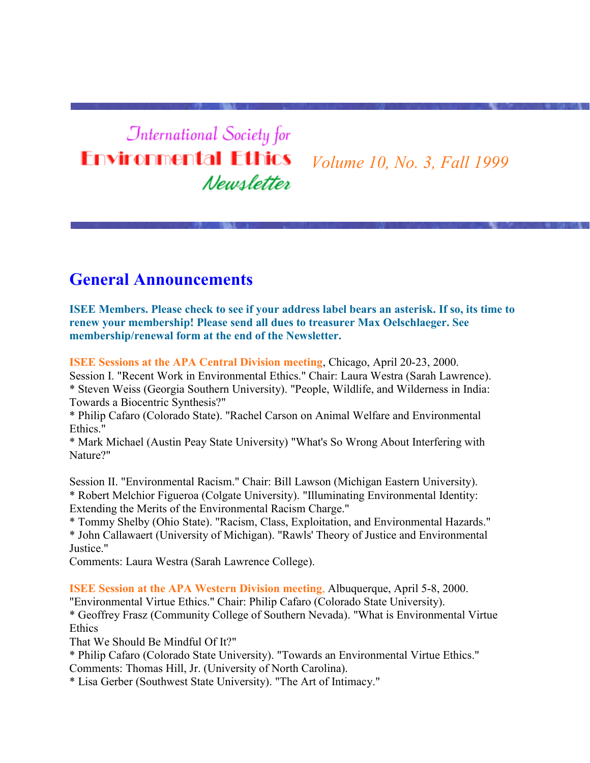# **International Society for Environmental Ethics** Newsletter

*Volume 10, No. 3, Fall 1999*

# **General Announcements**

**ISEE Members. Please check to see if your address label bears an asterisk. If so, its time to renew your membership! Please send all dues to treasurer Max Oelschlaeger. See membership/renewal form at the end of the Newsletter.**

**ISEE Sessions at the APA Central Division meeting**, Chicago, April 20-23, 2000. Session I. "Recent Work in Environmental Ethics." Chair: Laura Westra (Sarah Lawrence). \* Steven Weiss (Georgia Southern University). "People, Wildlife, and Wilderness in India:

Towards a Biocentric Synthesis?"

\* Philip Cafaro (Colorado State). "Rachel Carson on Animal Welfare and Environmental Ethics."

\* Mark Michael (Austin Peay State University) "What's So Wrong About Interfering with Nature?"

Session II. "Environmental Racism." Chair: Bill Lawson (Michigan Eastern University). \* Robert Melchior Figueroa (Colgate University). "Illuminating Environmental Identity: Extending the Merits of the Environmental Racism Charge."

\* Tommy Shelby (Ohio State). "Racism, Class, Exploitation, and Environmental Hazards."

\* John Callawaert (University of Michigan). "Rawls' Theory of Justice and Environmental Justice."

Comments: Laura Westra (Sarah Lawrence College).

**ISEE Session at the APA Western Division meeting**, Albuquerque, April 5-8, 2000.

"Environmental Virtue Ethics." Chair: Philip Cafaro (Colorado State University).

\* Geoffrey Frasz (Community College of Southern Nevada). "What is Environmental Virtue Ethics

That We Should Be Mindful Of It?"

\* Philip Cafaro (Colorado State University). "Towards an Environmental Virtue Ethics." Comments: Thomas Hill, Jr. (University of North Carolina).

\* Lisa Gerber (Southwest State University). "The Art of Intimacy."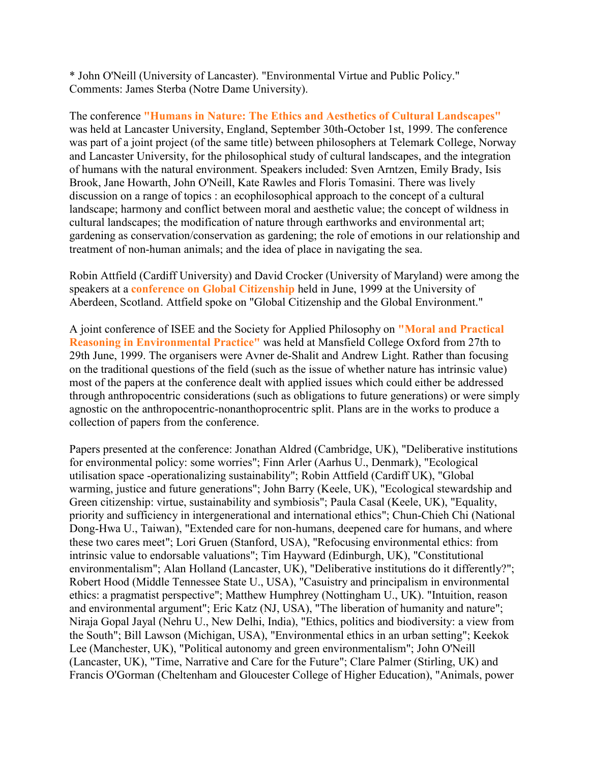\* John O'Neill (University of Lancaster). "Environmental Virtue and Public Policy." Comments: James Sterba (Notre Dame University).

The conference **"Humans in Nature: The Ethics and Aesthetics of Cultural Landscapes"** was held at Lancaster University, England, September 30th-October 1st, 1999. The conference was part of a joint project (of the same title) between philosophers at Telemark College, Norway and Lancaster University, for the philosophical study of cultural landscapes, and the integration of humans with the natural environment. Speakers included: Sven Arntzen, Emily Brady, Isis Brook, Jane Howarth, John O'Neill, Kate Rawles and Floris Tomasini. There was lively discussion on a range of topics : an ecophilosophical approach to the concept of a cultural landscape; harmony and conflict between moral and aesthetic value; the concept of wildness in cultural landscapes; the modification of nature through earthworks and environmental art; gardening as conservation/conservation as gardening; the role of emotions in our relationship and treatment of non-human animals; and the idea of place in navigating the sea.

Robin Attfield (Cardiff University) and David Crocker (University of Maryland) were among the speakers at a **conference on Global Citizenship** held in June, 1999 at the University of Aberdeen, Scotland. Attfield spoke on "Global Citizenship and the Global Environment."

A joint conference of ISEE and the Society for Applied Philosophy on **"Moral and Practical Reasoning in Environmental Practice"** was held at Mansfield College Oxford from 27th to 29th June, 1999. The organisers were Avner de-Shalit and Andrew Light. Rather than focusing on the traditional questions of the field (such as the issue of whether nature has intrinsic value) most of the papers at the conference dealt with applied issues which could either be addressed through anthropocentric considerations (such as obligations to future generations) or were simply agnostic on the anthropocentric-nonanthoprocentric split. Plans are in the works to produce a collection of papers from the conference.

Papers presented at the conference: Jonathan Aldred (Cambridge, UK), "Deliberative institutions for environmental policy: some worries"; Finn Arler (Aarhus U., Denmark), "Ecological utilisation space -operationalizing sustainability"; Robin Attfield (Cardiff UK), "Global warming, justice and future generations"; John Barry (Keele, UK), "Ecological stewardship and Green citizenship: virtue, sustainability and symbiosis"; Paula Casal (Keele, UK), "Equality, priority and sufficiency in intergenerational and international ethics"; Chun-Chieh Chi (National Dong-Hwa U., Taiwan), "Extended care for non-humans, deepened care for humans, and where these two cares meet"; Lori Gruen (Stanford, USA), "Refocusing environmental ethics: from intrinsic value to endorsable valuations"; Tim Hayward (Edinburgh, UK), "Constitutional environmentalism"; Alan Holland (Lancaster, UK), "Deliberative institutions do it differently?"; Robert Hood (Middle Tennessee State U., USA), "Casuistry and principalism in environmental ethics: a pragmatist perspective"; Matthew Humphrey (Nottingham U., UK). "Intuition, reason and environmental argument"; Eric Katz (NJ, USA), "The liberation of humanity and nature"; Niraja Gopal Jayal (Nehru U., New Delhi, India), "Ethics, politics and biodiversity: a view from the South"; Bill Lawson (Michigan, USA), "Environmental ethics in an urban setting"; Keekok Lee (Manchester, UK), "Political autonomy and green environmentalism"; John O'Neill (Lancaster, UK), "Time, Narrative and Care for the Future"; Clare Palmer (Stirling, UK) and Francis O'Gorman (Cheltenham and Gloucester College of Higher Education), "Animals, power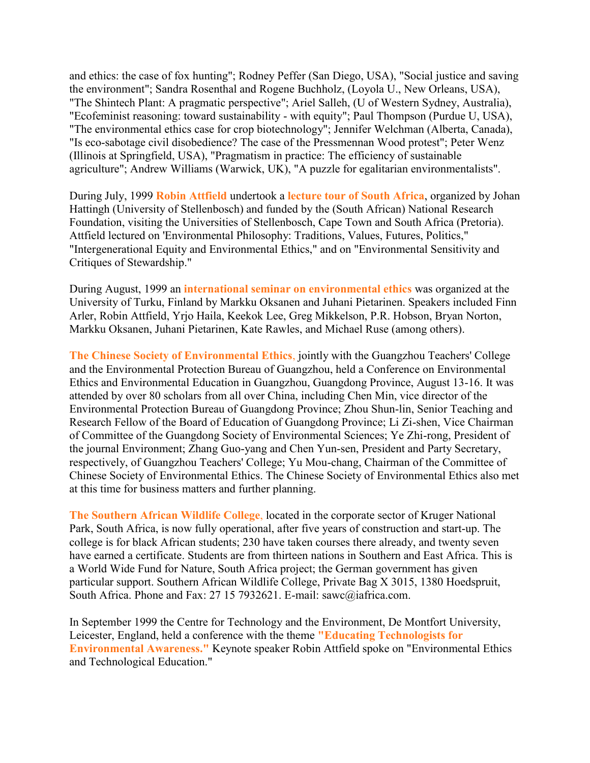and ethics: the case of fox hunting"; Rodney Peffer (San Diego, USA), "Social justice and saving the environment"; Sandra Rosenthal and Rogene Buchholz, (Loyola U., New Orleans, USA), "The Shintech Plant: A pragmatic perspective"; Ariel Salleh, (U of Western Sydney, Australia), "Ecofeminist reasoning: toward sustainability - with equity"; Paul Thompson (Purdue U, USA), "The environmental ethics case for crop biotechnology"; Jennifer Welchman (Alberta, Canada), "Is eco-sabotage civil disobedience? The case of the Pressmennan Wood protest"; Peter Wenz (Illinois at Springfield, USA), "Pragmatism in practice: The efficiency of sustainable agriculture"; Andrew Williams (Warwick, UK), "A puzzle for egalitarian environmentalists".

During July, 1999 **Robin Attfield** undertook a **lecture tour of South Africa**, organized by Johan Hattingh (University of Stellenbosch) and funded by the (South African) National Research Foundation, visiting the Universities of Stellenbosch, Cape Town and South Africa (Pretoria). Attfield lectured on 'Environmental Philosophy: Traditions, Values, Futures, Politics," "Intergenerational Equity and Environmental Ethics," and on "Environmental Sensitivity and Critiques of Stewardship."

During August, 1999 an **international seminar on environmental ethics** was organized at the University of Turku, Finland by Markku Oksanen and Juhani Pietarinen. Speakers included Finn Arler, Robin Attfield, Yrjo Haila, Keekok Lee, Greg Mikkelson, P.R. Hobson, Bryan Norton, Markku Oksanen, Juhani Pietarinen, Kate Rawles, and Michael Ruse (among others).

**The Chinese Society of Environmental Ethics**, jointly with the Guangzhou Teachers' College and the Environmental Protection Bureau of Guangzhou, held a Conference on Environmental Ethics and Environmental Education in Guangzhou, Guangdong Province, August 13-16. It was attended by over 80 scholars from all over China, including Chen Min, vice director of the Environmental Protection Bureau of Guangdong Province; Zhou Shun-lin, Senior Teaching and Research Fellow of the Board of Education of Guangdong Province; Li Zi-shen, Vice Chairman of Committee of the Guangdong Society of Environmental Sciences; Ye Zhi-rong, President of the journal Environment; Zhang Guo-yang and Chen Yun-sen, President and Party Secretary, respectively, of Guangzhou Teachers' College; Yu Mou-chang, Chairman of the Committee of Chinese Society of Environmental Ethics. The Chinese Society of Environmental Ethics also met at this time for business matters and further planning.

**The Southern African Wildlife College**, located in the corporate sector of Kruger National Park, South Africa, is now fully operational, after five years of construction and start-up. The college is for black African students; 230 have taken courses there already, and twenty seven have earned a certificate. Students are from thirteen nations in Southern and East Africa. This is a World Wide Fund for Nature, South Africa project; the German government has given particular support. Southern African Wildlife College, Private Bag X 3015, 1380 Hoedspruit, South Africa. Phone and Fax: 27 15 7932621. E-mail: sawc@iafrica.com.

In September 1999 the Centre for Technology and the Environment, De Montfort University, Leicester, England, held a conference with the theme **"Educating Technologists for Environmental Awareness."** Keynote speaker Robin Attfield spoke on "Environmental Ethics and Technological Education."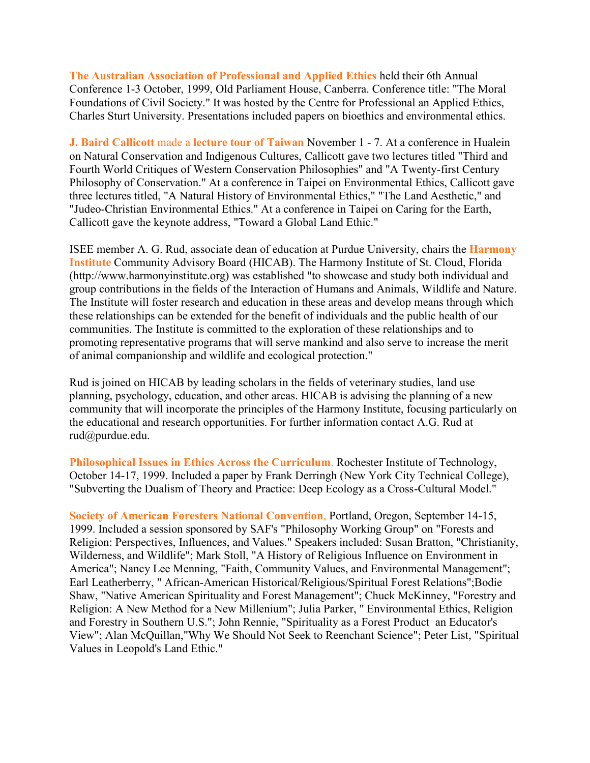**The Australian Association of Professional and Applied Ethics** held their 6th Annual Conference 1-3 October, 1999, Old Parliament House, Canberra. Conference title: "The Moral Foundations of Civil Society." It was hosted by the Centre for Professional an Applied Ethics, Charles Sturt University. Presentations included papers on bioethics and environmental ethics.

**J. Baird Callicott** made a **lecture tour of Taiwan** November 1 - 7. At a conference in Hualein on Natural Conservation and Indigenous Cultures, Callicott gave two lectures titled "Third and Fourth World Critiques of Western Conservation Philosophies" and "A Twenty-first Century Philosophy of Conservation." At a conference in Taipei on Environmental Ethics, Callicott gave three lectures titled, "A Natural History of Environmental Ethics," "The Land Aesthetic," and "Judeo-Christian Environmental Ethics." At a conference in Taipei on Caring for the Earth, Callicott gave the keynote address, "Toward a Global Land Ethic."

ISEE member A. G. Rud, associate dean of education at Purdue University, chairs the **Harmony Institute** Community Advisory Board (HICAB). The Harmony Institute of St. Cloud, Florida (http://www.harmonyinstitute.org) was established "to showcase and study both individual and group contributions in the fields of the Interaction of Humans and Animals, Wildlife and Nature. The Institute will foster research and education in these areas and develop means through which these relationships can be extended for the benefit of individuals and the public health of our communities. The Institute is committed to the exploration of these relationships and to promoting representative programs that will serve mankind and also serve to increase the merit of animal companionship and wildlife and ecological protection."

Rud is joined on HICAB by leading scholars in the fields of veterinary studies, land use planning, psychology, education, and other areas. HICAB is advising the planning of a new community that will incorporate the principles of the Harmony Institute, focusing particularly on the educational and research opportunities. For further information contact A.G. Rud at rud@purdue.edu.

**Philosophical Issues in Ethics Across the Curriculum**. Rochester Institute of Technology, October 14-17, 1999. Included a paper by Frank Derringh (New York City Technical College), "Subverting the Dualism of Theory and Practice: Deep Ecology as a Cross-Cultural Model."

**Society of American Foresters National Convention**, Portland, Oregon, September 14-15, 1999. Included a session sponsored by SAF's "Philosophy Working Group" on "Forests and Religion: Perspectives, Influences, and Values." Speakers included: Susan Bratton, "Christianity, Wilderness, and Wildlife"; Mark Stoll, "A History of Religious Influence on Environment in America"; Nancy Lee Menning, "Faith, Community Values, and Environmental Management"; Earl Leatherberry, " African-American Historical/Religious/Spiritual Forest Relations";Bodie Shaw, "Native American Spirituality and Forest Management"; Chuck McKinney, "Forestry and Religion: A New Method for a New Millenium"; Julia Parker, " Environmental Ethics, Religion and Forestry in Southern U.S."; John Rennie, "Spirituality as a Forest Product an Educator's View"; Alan McQuillan,"Why We Should Not Seek to Reenchant Science"; Peter List, "Spiritual Values in Leopold's Land Ethic."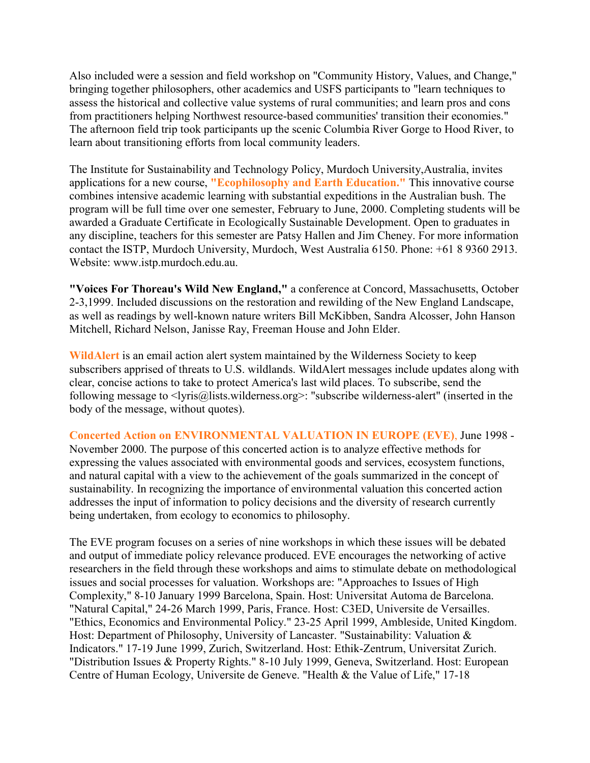Also included were a session and field workshop on "Community History, Values, and Change," bringing together philosophers, other academics and USFS participants to "learn techniques to assess the historical and collective value systems of rural communities; and learn pros and cons from practitioners helping Northwest resource-based communities' transition their economies." The afternoon field trip took participants up the scenic Columbia River Gorge to Hood River, to learn about transitioning efforts from local community leaders.

The Institute for Sustainability and Technology Policy, Murdoch University,Australia, invites applications for a new course, **"Ecophilosophy and Earth Education."** This innovative course combines intensive academic learning with substantial expeditions in the Australian bush. The program will be full time over one semester, February to June, 2000. Completing students will be awarded a Graduate Certificate in Ecologically Sustainable Development. Open to graduates in any discipline, teachers for this semester are Patsy Hallen and Jim Cheney. For more information contact the ISTP, Murdoch University, Murdoch, West Australia 6150. Phone: +61 8 9360 2913. Website: www.istp.murdoch.edu.au.

**"Voices For Thoreau's Wild New England,"** a conference at Concord, Massachusetts, October 2-3,1999. Included discussions on the restoration and rewilding of the New England Landscape, as well as readings by well-known nature writers Bill McKibben, Sandra Alcosser, John Hanson Mitchell, Richard Nelson, Janisse Ray, Freeman House and John Elder.

**WildAlert** is an email action alert system maintained by the Wilderness Society to keep subscribers apprised of threats to U.S. wildlands. WildAlert messages include updates along with clear, concise actions to take to protect America's last wild places. To subscribe, send the following message to <lyris@lists.wilderness.org>: "subscribe wilderness-alert" (inserted in the body of the message, without quotes).

**Concerted Action on ENVIRONMENTAL VALUATION IN EUROPE (EVE)**, June 1998 - November 2000. The purpose of this concerted action is to analyze effective methods for expressing the values associated with environmental goods and services, ecosystem functions, and natural capital with a view to the achievement of the goals summarized in the concept of sustainability. In recognizing the importance of environmental valuation this concerted action addresses the input of information to policy decisions and the diversity of research currently being undertaken, from ecology to economics to philosophy.

The EVE program focuses on a series of nine workshops in which these issues will be debated and output of immediate policy relevance produced. EVE encourages the networking of active researchers in the field through these workshops and aims to stimulate debate on methodological issues and social processes for valuation. Workshops are: "Approaches to Issues of High Complexity," 8-10 January 1999 Barcelona, Spain. Host: Universitat Automa de Barcelona. "Natural Capital," 24-26 March 1999, Paris, France. Host: C3ED, Universite de Versailles. "Ethics, Economics and Environmental Policy." 23-25 April 1999, Ambleside, United Kingdom. Host: Department of Philosophy, University of Lancaster. "Sustainability: Valuation & Indicators." 17-19 June 1999, Zurich, Switzerland. Host: Ethik-Zentrum, Universitat Zurich. "Distribution Issues & Property Rights." 8-10 July 1999, Geneva, Switzerland. Host: European Centre of Human Ecology, Universite de Geneve. "Health & the Value of Life," 17-18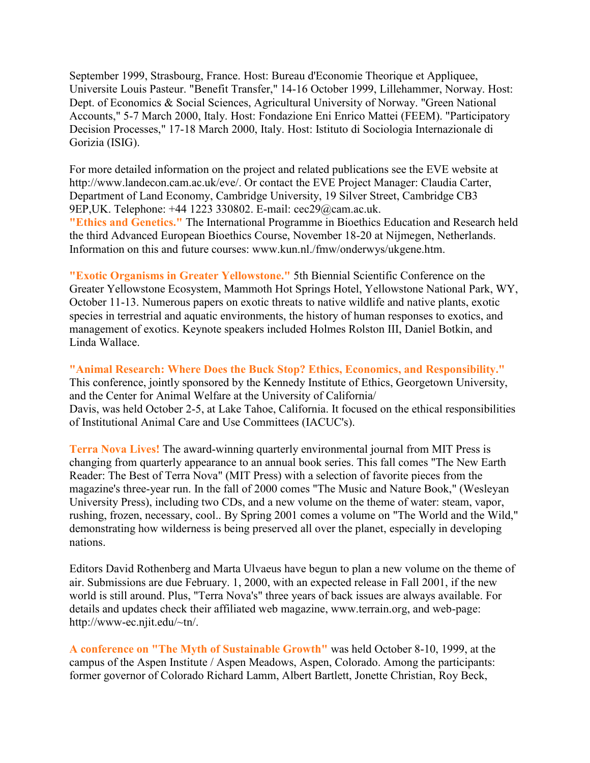September 1999, Strasbourg, France. Host: Bureau d'Economie Theorique et Appliquee, Universite Louis Pasteur. "Benefit Transfer," 14-16 October 1999, Lillehammer, Norway. Host: Dept. of Economics & Social Sciences, Agricultural University of Norway. "Green National Accounts," 5-7 March 2000, Italy. Host: Fondazione Eni Enrico Mattei (FEEM). "Participatory Decision Processes," 17-18 March 2000, Italy. Host: Istituto di Sociologia Internazionale di Gorizia (ISIG).

For more detailed information on the project and related publications see the EVE website at http://www.landecon.cam.ac.uk/eve/. Or contact the EVE Project Manager: Claudia Carter, Department of Land Economy, Cambridge University, 19 Silver Street, Cambridge CB3 9EP,UK. Telephone: +44 1223 330802. E-mail: cec29@cam.ac.uk. **"Ethics and Genetics."** The International Programme in Bioethics Education and Research held the third Advanced European Bioethics Course, November 18-20 at Nijmegen, Netherlands. Information on this and future courses: www.kun.nl./fmw/onderwys/ukgene.htm.

**"Exotic Organisms in Greater Yellowstone."** 5th Biennial Scientific Conference on the Greater Yellowstone Ecosystem, Mammoth Hot Springs Hotel, Yellowstone National Park, WY, October 11-13. Numerous papers on exotic threats to native wildlife and native plants, exotic species in terrestrial and aquatic environments, the history of human responses to exotics, and management of exotics. Keynote speakers included Holmes Rolston III, Daniel Botkin, and Linda Wallace.

**"Animal Research: Where Does the Buck Stop? Ethics, Economics, and Responsibility."** This conference, jointly sponsored by the Kennedy Institute of Ethics, Georgetown University, and the Center for Animal Welfare at the University of California/ Davis, was held October 2-5, at Lake Tahoe, California. It focused on the ethical responsibilities of Institutional Animal Care and Use Committees (IACUC's).

**Terra Nova Lives!** The award-winning quarterly environmental journal from MIT Press is changing from quarterly appearance to an annual book series. This fall comes "The New Earth Reader: The Best of Terra Nova" (MIT Press) with a selection of favorite pieces from the magazine's three-year run. In the fall of 2000 comes "The Music and Nature Book," (Wesleyan University Press), including two CDs, and a new volume on the theme of water: steam, vapor, rushing, frozen, necessary, cool.. By Spring 2001 comes a volume on "The World and the Wild," demonstrating how wilderness is being preserved all over the planet, especially in developing nations.

Editors David Rothenberg and Marta Ulvaeus have begun to plan a new volume on the theme of air. Submissions are due February. 1, 2000, with an expected release in Fall 2001, if the new world is still around. Plus, "Terra Nova's" three years of back issues are always available. For details and updates check their affiliated web magazine, www.terrain.org, and web-page: http://www-ec.njit.edu/~tn/.

**A conference on "The Myth of Sustainable Growth"** was held October 8-10, 1999, at the campus of the Aspen Institute / Aspen Meadows, Aspen, Colorado. Among the participants: former governor of Colorado Richard Lamm, Albert Bartlett, Jonette Christian, Roy Beck,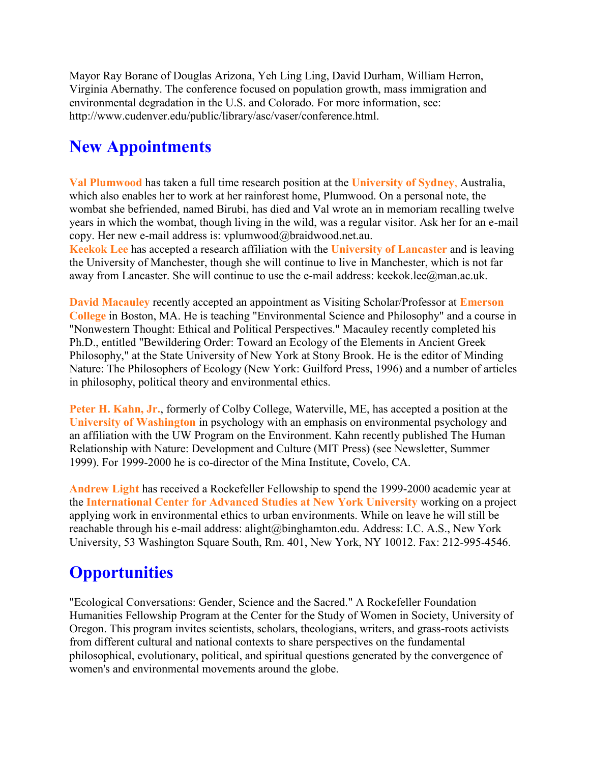Mayor Ray Borane of Douglas Arizona, Yeh Ling Ling, David Durham, William Herron, Virginia Abernathy. The conference focused on population growth, mass immigration and environmental degradation in the U.S. and Colorado. For more information, see: http://www.cudenver.edu/public/library/asc/vaser/conference.html.

# **New Appointments**

**Val Plumwood** has taken a full time research position at the **University of Sydney**, Australia, which also enables her to work at her rainforest home, Plumwood. On a personal note, the wombat she befriended, named Birubi, has died and Val wrote an in memoriam recalling twelve years in which the wombat, though living in the wild, was a regular visitor. Ask her for an e-mail copy. Her new e-mail address is: vplumwood@braidwood.net.au.

**Keekok Lee** has accepted a research affiliation with the **University of Lancaster** and is leaving the University of Manchester, though she will continue to live in Manchester, which is not far away from Lancaster. She will continue to use the e-mail address: keekok.lee@man.ac.uk.

**David Macauley** recently accepted an appointment as Visiting Scholar/Professor at **Emerson College** in Boston, MA. He is teaching "Environmental Science and Philosophy" and a course in "Nonwestern Thought: Ethical and Political Perspectives." Macauley recently completed his Ph.D., entitled "Bewildering Order: Toward an Ecology of the Elements in Ancient Greek Philosophy," at the State University of New York at Stony Brook. He is the editor of Minding Nature: The Philosophers of Ecology (New York: Guilford Press, 1996) and a number of articles in philosophy, political theory and environmental ethics.

**Peter H. Kahn, Jr.**, formerly of Colby College, Waterville, ME, has accepted a position at the **University of Washington** in psychology with an emphasis on environmental psychology and an affiliation with the UW Program on the Environment. Kahn recently published The Human Relationship with Nature: Development and Culture (MIT Press) (see Newsletter, Summer 1999). For 1999-2000 he is co-director of the Mina Institute, Covelo, CA.

**Andrew Light** has received a Rockefeller Fellowship to spend the 1999-2000 academic year at the **International Center for Advanced Studies at New York University** working on a project applying work in environmental ethics to urban environments. While on leave he will still be reachable through his e-mail address: alight@binghamton.edu. Address: I.C. A.S., New York University, 53 Washington Square South, Rm. 401, New York, NY 10012. Fax: 212-995-4546.

# **Opportunities**

"Ecological Conversations: Gender, Science and the Sacred." A Rockefeller Foundation Humanities Fellowship Program at the Center for the Study of Women in Society, University of Oregon. This program invites scientists, scholars, theologians, writers, and grass-roots activists from different cultural and national contexts to share perspectives on the fundamental philosophical, evolutionary, political, and spiritual questions generated by the convergence of women's and environmental movements around the globe.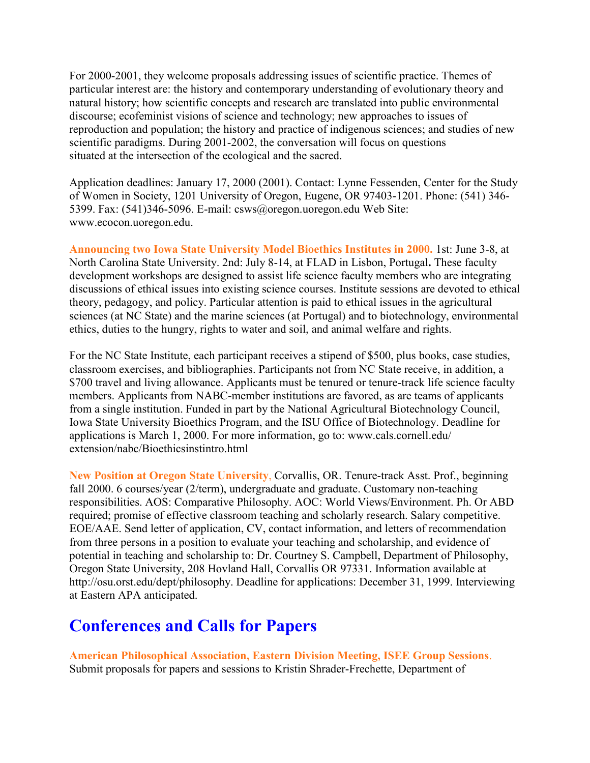For 2000-2001, they welcome proposals addressing issues of scientific practice. Themes of particular interest are: the history and contemporary understanding of evolutionary theory and natural history; how scientific concepts and research are translated into public environmental discourse; ecofeminist visions of science and technology; new approaches to issues of reproduction and population; the history and practice of indigenous sciences; and studies of new scientific paradigms. During 2001-2002, the conversation will focus on questions situated at the intersection of the ecological and the sacred.

Application deadlines: January 17, 2000 (2001). Contact: Lynne Fessenden, Center for the Study of Women in Society, 1201 University of Oregon, Eugene, OR 97403-1201. Phone: (541) 346- 5399. Fax: (541)346-5096. E-mail: csws@oregon.uoregon.edu Web Site: www.ecocon.uoregon.edu.

**Announcing two Iowa State University Model Bioethics Institutes in 2000.** 1st: June 3-8, at North Carolina State University. 2nd: July 8-14, at FLAD in Lisbon, Portugal**.** These faculty development workshops are designed to assist life science faculty members who are integrating discussions of ethical issues into existing science courses. Institute sessions are devoted to ethical theory, pedagogy, and policy. Particular attention is paid to ethical issues in the agricultural sciences (at NC State) and the marine sciences (at Portugal) and to biotechnology, environmental ethics, duties to the hungry, rights to water and soil, and animal welfare and rights.

For the NC State Institute, each participant receives a stipend of \$500, plus books, case studies, classroom exercises, and bibliographies. Participants not from NC State receive, in addition, a \$700 travel and living allowance. Applicants must be tenured or tenure-track life science faculty members. Applicants from NABC-member institutions are favored, as are teams of applicants from a single institution. Funded in part by the National Agricultural Biotechnology Council, Iowa State University Bioethics Program, and the ISU Office of Biotechnology. Deadline for applications is March 1, 2000. For more information, go to: www.cals.cornell.edu/ extension/nabc/Bioethicsinstintro.html

**New Position at Oregon State University**, Corvallis, OR. Tenure-track Asst. Prof., beginning fall 2000. 6 courses/year (2/term), undergraduate and graduate. Customary non-teaching responsibilities. AOS: Comparative Philosophy. AOC: World Views/Environment. Ph. Or ABD required; promise of effective classroom teaching and scholarly research. Salary competitive. EOE/AAE. Send letter of application, CV, contact information, and letters of recommendation from three persons in a position to evaluate your teaching and scholarship, and evidence of potential in teaching and scholarship to: Dr. Courtney S. Campbell, Department of Philosophy, Oregon State University, 208 Hovland Hall, Corvallis OR 97331. Information available at http://osu.orst.edu/dept/philosophy. Deadline for applications: December 31, 1999. Interviewing at Eastern APA anticipated.

#### **Conferences and Calls for Papers**

**American Philosophical Association, Eastern Division Meeting, ISEE Group Sessions**. Submit proposals for papers and sessions to Kristin Shrader-Frechette, Department of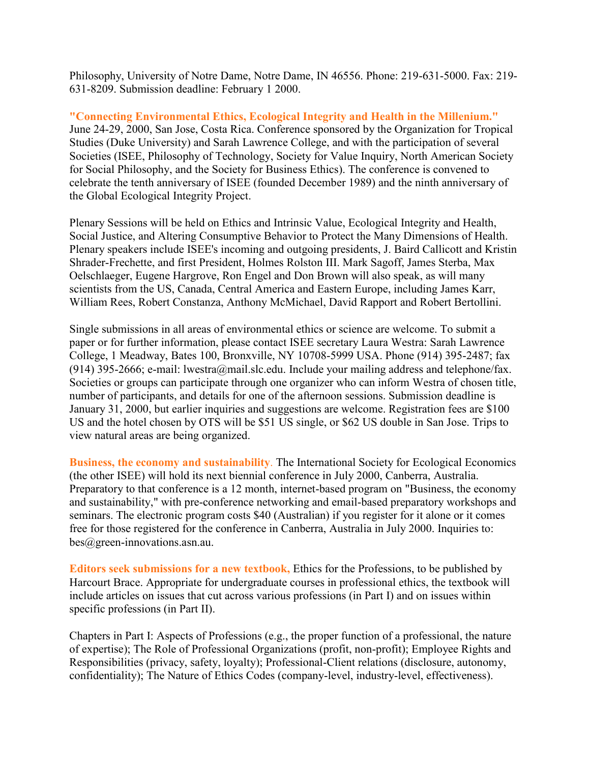Philosophy, University of Notre Dame, Notre Dame, IN 46556. Phone: 219-631-5000. Fax: 219- 631-8209. Submission deadline: February 1 2000.

**"Connecting Environmental Ethics, Ecological Integrity and Health in the Millenium."** June 24-29, 2000, San Jose, Costa Rica. Conference sponsored by the Organization for Tropical Studies (Duke University) and Sarah Lawrence College, and with the participation of several Societies (ISEE, Philosophy of Technology, Society for Value Inquiry, North American Society for Social Philosophy, and the Society for Business Ethics). The conference is convened to celebrate the tenth anniversary of ISEE (founded December 1989) and the ninth anniversary of the Global Ecological Integrity Project.

Plenary Sessions will be held on Ethics and Intrinsic Value, Ecological Integrity and Health, Social Justice, and Altering Consumptive Behavior to Protect the Many Dimensions of Health. Plenary speakers include ISEE's incoming and outgoing presidents, J. Baird Callicott and Kristin Shrader-Frechette, and first President, Holmes Rolston III. Mark Sagoff, James Sterba, Max Oelschlaeger, Eugene Hargrove, Ron Engel and Don Brown will also speak, as will many scientists from the US, Canada, Central America and Eastern Europe, including James Karr, William Rees, Robert Constanza, Anthony McMichael, David Rapport and Robert Bertollini.

Single submissions in all areas of environmental ethics or science are welcome. To submit a paper or for further information, please contact ISEE secretary Laura Westra: Sarah Lawrence College, 1 Meadway, Bates 100, Bronxville, NY 10708-5999 USA. Phone (914) 395-2487; fax (914) 395-2666; e-mail: lwestra@mail.slc.edu. Include your mailing address and telephone/fax. Societies or groups can participate through one organizer who can inform Westra of chosen title, number of participants, and details for one of the afternoon sessions. Submission deadline is January 31, 2000, but earlier inquiries and suggestions are welcome. Registration fees are \$100 US and the hotel chosen by OTS will be \$51 US single, or \$62 US double in San Jose. Trips to view natural areas are being organized.

**Business, the economy and sustainability**. The International Society for Ecological Economics (the other ISEE) will hold its next biennial conference in July 2000, Canberra, Australia. Preparatory to that conference is a 12 month, internet-based program on "Business, the economy and sustainability," with pre-conference networking and email-based preparatory workshops and seminars. The electronic program costs \$40 (Australian) if you register for it alone or it comes free for those registered for the conference in Canberra, Australia in July 2000. Inquiries to: bes@green-innovations.asn.au.

**Editors seek submissions for a new textbook,** Ethics for the Professions, to be published by Harcourt Brace. Appropriate for undergraduate courses in professional ethics, the textbook will include articles on issues that cut across various professions (in Part I) and on issues within specific professions (in Part II).

Chapters in Part I: Aspects of Professions (e.g., the proper function of a professional, the nature of expertise); The Role of Professional Organizations (profit, non-profit); Employee Rights and Responsibilities (privacy, safety, loyalty); Professional-Client relations (disclosure, autonomy, confidentiality); The Nature of Ethics Codes (company-level, industry-level, effectiveness).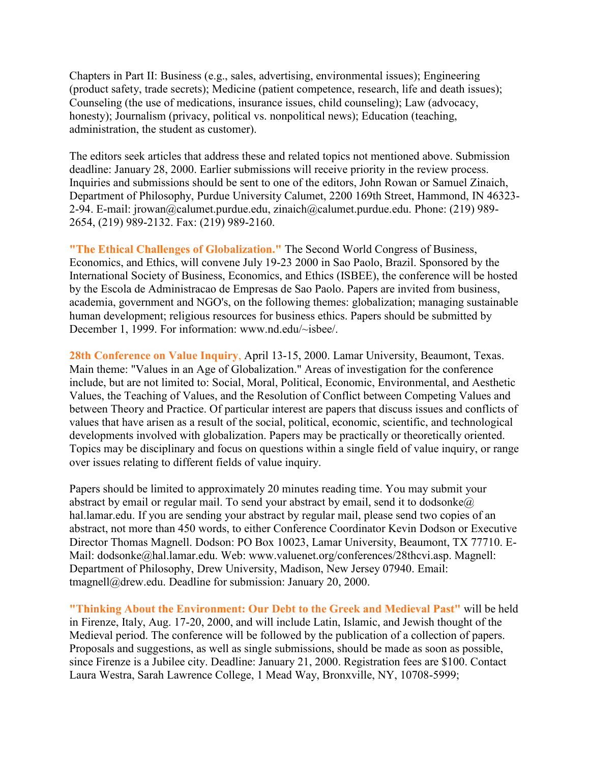Chapters in Part II: Business (e.g., sales, advertising, environmental issues); Engineering (product safety, trade secrets); Medicine (patient competence, research, life and death issues); Counseling (the use of medications, insurance issues, child counseling); Law (advocacy, honesty); Journalism (privacy, political vs. nonpolitical news); Education (teaching, administration, the student as customer).

The editors seek articles that address these and related topics not mentioned above. Submission deadline: January 28, 2000. Earlier submissions will receive priority in the review process. Inquiries and submissions should be sent to one of the editors, John Rowan or Samuel Zinaich, Department of Philosophy, Purdue University Calumet, 2200 169th Street, Hammond, IN 46323- 2-94. E-mail: jrowan@calumet.purdue.edu, zinaich@calumet.purdue.edu. Phone: (219) 989- 2654, (219) 989-2132. Fax: (219) 989-2160.

**"The Ethical Challenges of Globalization."** The Second World Congress of Business, Economics, and Ethics, will convene July 19-23 2000 in Sao Paolo, Brazil. Sponsored by the International Society of Business, Economics, and Ethics (ISBEE), the conference will be hosted by the Escola de Administracao de Empresas de Sao Paolo. Papers are invited from business, academia, government and NGO's, on the following themes: globalization; managing sustainable human development; religious resources for business ethics. Papers should be submitted by December 1, 1999. For information: www.nd.edu/~isbee/.

**28th Conference on Value Inquiry**, April 13-15, 2000. Lamar University, Beaumont, Texas. Main theme: "Values in an Age of Globalization." Areas of investigation for the conference include, but are not limited to: Social, Moral, Political, Economic, Environmental, and Aesthetic Values, the Teaching of Values, and the Resolution of Conflict between Competing Values and between Theory and Practice. Of particular interest are papers that discuss issues and conflicts of values that have arisen as a result of the social, political, economic, scientific, and technological developments involved with globalization. Papers may be practically or theoretically oriented. Topics may be disciplinary and focus on questions within a single field of value inquiry, or range over issues relating to different fields of value inquiry.

Papers should be limited to approximately 20 minutes reading time. You may submit your abstract by email or regular mail. To send your abstract by email, send it to dodsonke $@$ hal.lamar.edu. If you are sending your abstract by regular mail, please send two copies of an abstract, not more than 450 words, to either Conference Coordinator Kevin Dodson or Executive Director Thomas Magnell. Dodson: PO Box 10023, Lamar University, Beaumont, TX 77710. E-Mail: dodsonke@hal.lamar.edu. Web: www.valuenet.org/conferences/28thcvi.asp. Magnell: Department of Philosophy, Drew University, Madison, New Jersey 07940. Email: tmagnell@drew.edu. Deadline for submission: January 20, 2000.

**"Thinking About the Environment: Our Debt to the Greek and Medieval Past"** will be held in Firenze, Italy, Aug. 17-20, 2000, and will include Latin, Islamic, and Jewish thought of the Medieval period. The conference will be followed by the publication of a collection of papers. Proposals and suggestions, as well as single submissions, should be made as soon as possible, since Firenze is a Jubilee city. Deadline: January 21, 2000. Registration fees are \$100. Contact Laura Westra, Sarah Lawrence College, 1 Mead Way, Bronxville, NY, 10708-5999;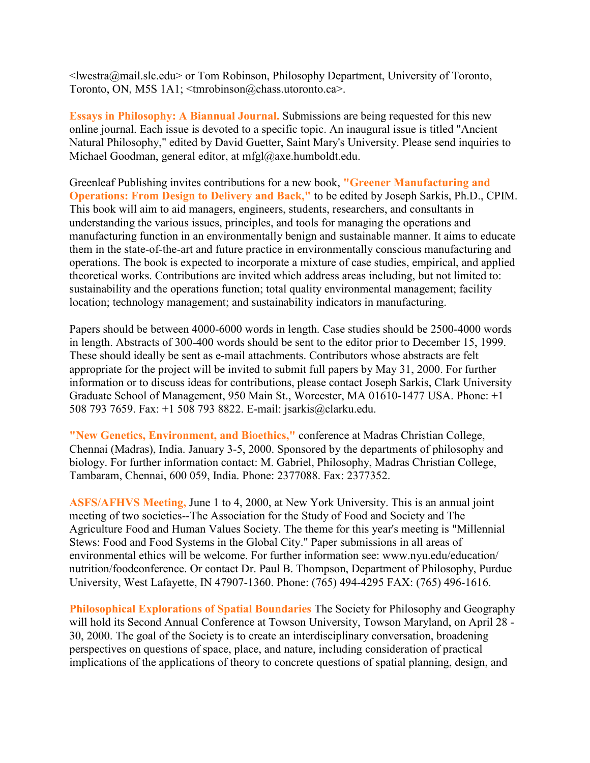$\leq$ lwestra@mail.slc.edu> or Tom Robinson, Philosophy Department, University of Toronto, Toronto, ON, M5S 1A1; <tmrobinson@chass.utoronto.ca>.

**Essays in Philosophy: A Biannual Journal.** Submissions are being requested for this new online journal. Each issue is devoted to a specific topic. An inaugural issue is titled "Ancient Natural Philosophy," edited by David Guetter, Saint Mary's University. Please send inquiries to Michael Goodman, general editor, at mfgl@axe.humboldt.edu.

Greenleaf Publishing invites contributions for a new book, **"Greener Manufacturing and Operations: From Design to Delivery and Back,"** to be edited by Joseph Sarkis, Ph.D., CPIM. This book will aim to aid managers, engineers, students, researchers, and consultants in understanding the various issues, principles, and tools for managing the operations and manufacturing function in an environmentally benign and sustainable manner. It aims to educate them in the state-of-the-art and future practice in environmentally conscious manufacturing and operations. The book is expected to incorporate a mixture of case studies, empirical, and applied theoretical works. Contributions are invited which address areas including, but not limited to: sustainability and the operations function; total quality environmental management; facility location; technology management; and sustainability indicators in manufacturing.

Papers should be between 4000-6000 words in length. Case studies should be 2500-4000 words in length. Abstracts of 300-400 words should be sent to the editor prior to December 15, 1999. These should ideally be sent as e-mail attachments. Contributors whose abstracts are felt appropriate for the project will be invited to submit full papers by May 31, 2000. For further information or to discuss ideas for contributions, please contact Joseph Sarkis, Clark University Graduate School of Management, 950 Main St., Worcester, MA 01610-1477 USA. Phone: +1 508 793 7659. Fax: +1 508 793 8822. E-mail: jsarkis@clarku.edu.

**"New Genetics, Environment, and Bioethics,"** conference at Madras Christian College, Chennai (Madras), India. January 3-5, 2000. Sponsored by the departments of philosophy and biology. For further information contact: M. Gabriel, Philosophy, Madras Christian College, Tambaram, Chennai, 600 059, India. Phone: 2377088. Fax: 2377352.

**ASFS/AFHVS Meeting,** June 1 to 4, 2000, at New York University. This is an annual joint meeting of two societies--The Association for the Study of Food and Society and The Agriculture Food and Human Values Society. The theme for this year's meeting is "Millennial Stews: Food and Food Systems in the Global City." Paper submissions in all areas of environmental ethics will be welcome. For further information see: www.nyu.edu/education/ nutrition/foodconference. Or contact Dr. Paul B. Thompson, Department of Philosophy, Purdue University, West Lafayette, IN 47907-1360. Phone: (765) 494-4295 FAX: (765) 496-1616.

**Philosophical Explorations of Spatial Boundaries** The Society for Philosophy and Geography will hold its Second Annual Conference at Towson University, Towson Maryland, on April 28 - 30, 2000. The goal of the Society is to create an interdisciplinary conversation, broadening perspectives on questions of space, place, and nature, including consideration of practical implications of the applications of theory to concrete questions of spatial planning, design, and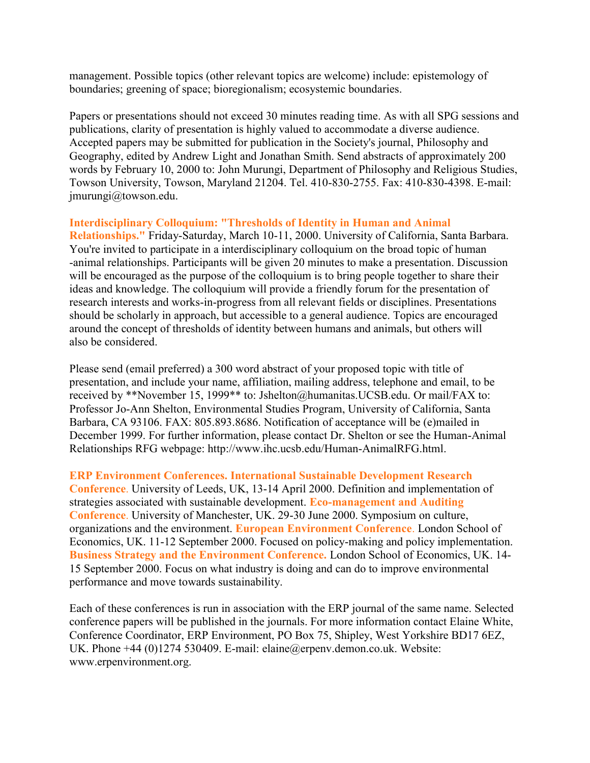management. Possible topics (other relevant topics are welcome) include: epistemology of boundaries; greening of space; bioregionalism; ecosystemic boundaries.

Papers or presentations should not exceed 30 minutes reading time. As with all SPG sessions and publications, clarity of presentation is highly valued to accommodate a diverse audience. Accepted papers may be submitted for publication in the Society's journal, Philosophy and Geography, edited by Andrew Light and Jonathan Smith. Send abstracts of approximately 200 words by February 10, 2000 to: John Murungi, Department of Philosophy and Religious Studies, Towson University, Towson, Maryland 21204. Tel. 410-830-2755. Fax: 410-830-4398. E-mail: jmurungi@towson.edu.

#### **Interdisciplinary Colloquium: "Thresholds of Identity in Human and Animal**

**Relationships."** Friday-Saturday, March 10-11, 2000. University of California, Santa Barbara. You're invited to participate in a interdisciplinary colloquium on the broad topic of human -animal relationships. Participants will be given 20 minutes to make a presentation. Discussion will be encouraged as the purpose of the colloquium is to bring people together to share their ideas and knowledge. The colloquium will provide a friendly forum for the presentation of research interests and works-in-progress from all relevant fields or disciplines. Presentations should be scholarly in approach, but accessible to a general audience. Topics are encouraged around the concept of thresholds of identity between humans and animals, but others will also be considered.

Please send (email preferred) a 300 word abstract of your proposed topic with title of presentation, and include your name, affiliation, mailing address, telephone and email, to be received by \*\*November 15, 1999\*\* to: Jshelton@humanitas.UCSB.edu. Or mail/FAX to: Professor Jo-Ann Shelton, Environmental Studies Program, University of California, Santa Barbara, CA 93106. FAX: 805.893.8686. Notification of acceptance will be (e)mailed in December 1999. For further information, please contact Dr. Shelton or see the Human-Animal Relationships RFG webpage: http://www.ihc.ucsb.edu/Human-AnimalRFG.html.

**ERP Environment Conferences. International Sustainable Development Research Conference**. University of Leeds, UK, 13-14 April 2000. Definition and implementation of strategies associated with sustainable development. **Eco-management and Auditing Conference**. University of Manchester, UK. 29-30 June 2000. Symposium on culture, organizations and the environment. **European Environment Conference**. London School of Economics, UK. 11-12 September 2000. Focused on policy-making and policy implementation. **Business Strategy and the Environment Conference.** London School of Economics, UK. 14- 15 September 2000. Focus on what industry is doing and can do to improve environmental performance and move towards sustainability.

Each of these conferences is run in association with the ERP journal of the same name. Selected conference papers will be published in the journals. For more information contact Elaine White, Conference Coordinator, ERP Environment, PO Box 75, Shipley, West Yorkshire BD17 6EZ, UK. Phone +44 (0)1274 530409. E-mail: elaine@erpenv.demon.co.uk. Website: www.erpenvironment.org.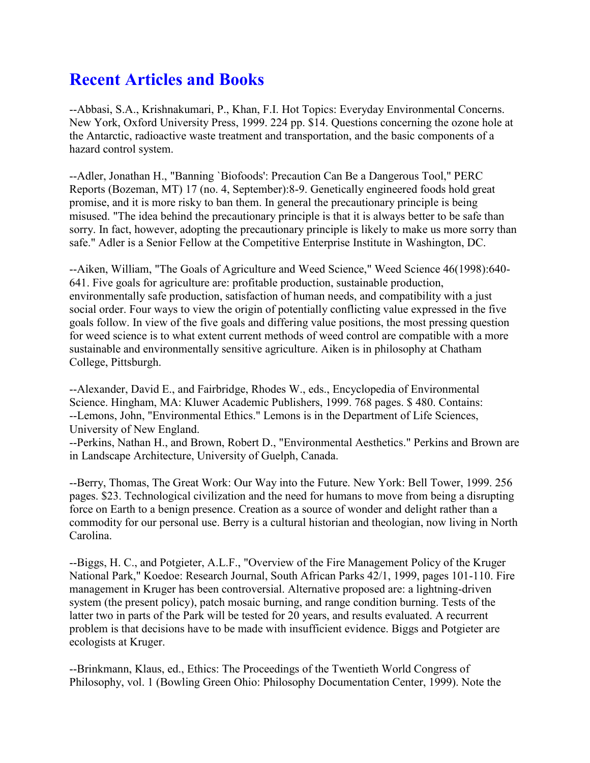# **Recent Articles and Books**

--Abbasi, S.A., Krishnakumari, P., Khan, F.I. Hot Topics: Everyday Environmental Concerns. New York, Oxford University Press, 1999. 224 pp. \$14. Questions concerning the ozone hole at the Antarctic, radioactive waste treatment and transportation, and the basic components of a hazard control system.

--Adler, Jonathan H., "Banning `Biofoods': Precaution Can Be a Dangerous Tool," PERC Reports (Bozeman, MT) 17 (no. 4, September):8-9. Genetically engineered foods hold great promise, and it is more risky to ban them. In general the precautionary principle is being misused. "The idea behind the precautionary principle is that it is always better to be safe than sorry. In fact, however, adopting the precautionary principle is likely to make us more sorry than safe." Adler is a Senior Fellow at the Competitive Enterprise Institute in Washington, DC.

--Aiken, William, "The Goals of Agriculture and Weed Science," Weed Science 46(1998):640- 641. Five goals for agriculture are: profitable production, sustainable production, environmentally safe production, satisfaction of human needs, and compatibility with a just social order. Four ways to view the origin of potentially conflicting value expressed in the five goals follow. In view of the five goals and differing value positions, the most pressing question for weed science is to what extent current methods of weed control are compatible with a more sustainable and environmentally sensitive agriculture. Aiken is in philosophy at Chatham College, Pittsburgh.

--Alexander, David E., and Fairbridge, Rhodes W., eds., Encyclopedia of Environmental Science. Hingham, MA: Kluwer Academic Publishers, 1999. 768 pages. \$ 480. Contains: --Lemons, John, "Environmental Ethics." Lemons is in the Department of Life Sciences, University of New England.

--Perkins, Nathan H., and Brown, Robert D., "Environmental Aesthetics." Perkins and Brown are in Landscape Architecture, University of Guelph, Canada.

--Berry, Thomas, The Great Work: Our Way into the Future. New York: Bell Tower, 1999. 256 pages. \$23. Technological civilization and the need for humans to move from being a disrupting force on Earth to a benign presence. Creation as a source of wonder and delight rather than a commodity for our personal use. Berry is a cultural historian and theologian, now living in North Carolina.

--Biggs, H. C., and Potgieter, A.L.F., "Overview of the Fire Management Policy of the Kruger National Park," Koedoe: Research Journal, South African Parks 42/1, 1999, pages 101-110. Fire management in Kruger has been controversial. Alternative proposed are: a lightning-driven system (the present policy), patch mosaic burning, and range condition burning. Tests of the latter two in parts of the Park will be tested for 20 years, and results evaluated. A recurrent problem is that decisions have to be made with insufficient evidence. Biggs and Potgieter are ecologists at Kruger.

--Brinkmann, Klaus, ed., Ethics: The Proceedings of the Twentieth World Congress of Philosophy, vol. 1 (Bowling Green Ohio: Philosophy Documentation Center, 1999). Note the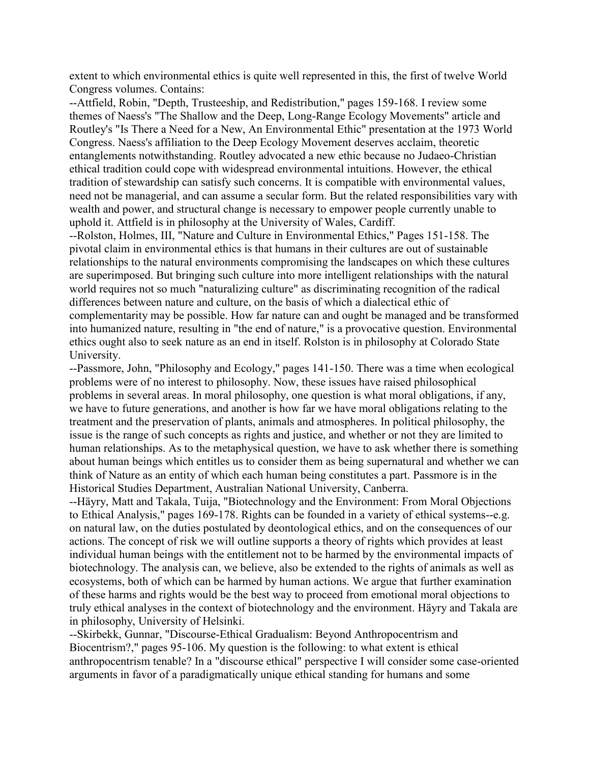extent to which environmental ethics is quite well represented in this, the first of twelve World Congress volumes. Contains:

--Attfield, Robin, "Depth, Trusteeship, and Redistribution," pages 159-168. I review some themes of Naess's "The Shallow and the Deep, Long-Range Ecology Movements" article and Routley's "Is There a Need for a New, An Environmental Ethic" presentation at the 1973 World Congress. Naess's affiliation to the Deep Ecology Movement deserves acclaim, theoretic entanglements notwithstanding. Routley advocated a new ethic because no Judaeo-Christian ethical tradition could cope with widespread environmental intuitions. However, the ethical tradition of stewardship can satisfy such concerns. It is compatible with environmental values, need not be managerial, and can assume a secular form. But the related responsibilities vary with wealth and power, and structural change is necessary to empower people currently unable to uphold it. Attfield is in philosophy at the University of Wales, Cardiff.

--Rolston, Holmes, III, "Nature and Culture in Environmental Ethics," Pages 151-158. The pivotal claim in environmental ethics is that humans in their cultures are out of sustainable relationships to the natural environments compromising the landscapes on which these cultures are superimposed. But bringing such culture into more intelligent relationships with the natural world requires not so much "naturalizing culture" as discriminating recognition of the radical differences between nature and culture, on the basis of which a dialectical ethic of complementarity may be possible. How far nature can and ought be managed and be transformed into humanized nature, resulting in "the end of nature," is a provocative question. Environmental ethics ought also to seek nature as an end in itself. Rolston is in philosophy at Colorado State University.

--Passmore, John, "Philosophy and Ecology," pages 141-150. There was a time when ecological problems were of no interest to philosophy. Now, these issues have raised philosophical problems in several areas. In moral philosophy, one question is what moral obligations, if any, we have to future generations, and another is how far we have moral obligations relating to the treatment and the preservation of plants, animals and atmospheres. In political philosophy, the issue is the range of such concepts as rights and justice, and whether or not they are limited to human relationships. As to the metaphysical question, we have to ask whether there is something about human beings which entitles us to consider them as being supernatural and whether we can think of Nature as an entity of which each human being constitutes a part. Passmore is in the Historical Studies Department, Australian National University, Canberra.

--Häyry, Matt and Takala, Tuija, "Biotechnology and the Environment: From Moral Objections to Ethical Analysis," pages 169-178. Rights can be founded in a variety of ethical systems--e.g. on natural law, on the duties postulated by deontological ethics, and on the consequences of our actions. The concept of risk we will outline supports a theory of rights which provides at least individual human beings with the entitlement not to be harmed by the environmental impacts of biotechnology. The analysis can, we believe, also be extended to the rights of animals as well as ecosystems, both of which can be harmed by human actions. We argue that further examination of these harms and rights would be the best way to proceed from emotional moral objections to truly ethical analyses in the context of biotechnology and the environment. Häyry and Takala are in philosophy, University of Helsinki.

--Skirbekk, Gunnar, "Discourse-Ethical Gradualism: Beyond Anthropocentrism and Biocentrism?," pages 95-106. My question is the following: to what extent is ethical anthropocentrism tenable? In a "discourse ethical" perspective I will consider some case-oriented arguments in favor of a paradigmatically unique ethical standing for humans and some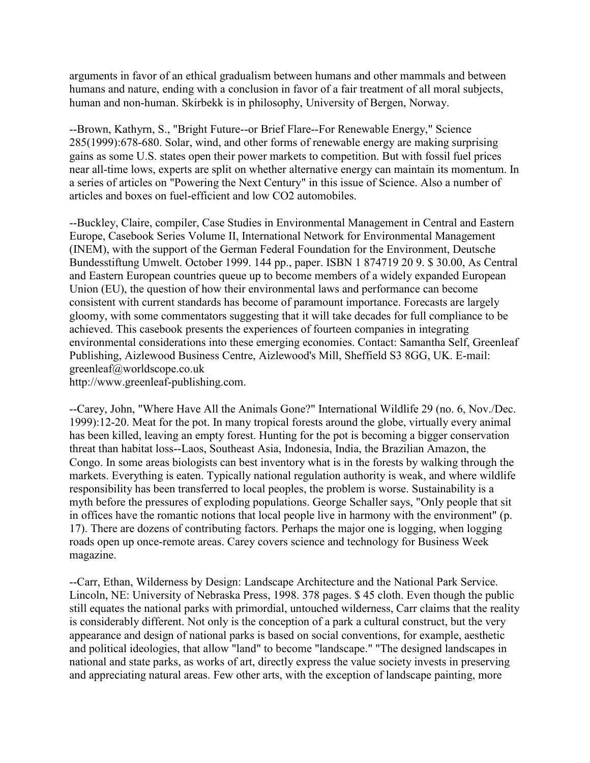arguments in favor of an ethical gradualism between humans and other mammals and between humans and nature, ending with a conclusion in favor of a fair treatment of all moral subjects, human and non-human. Skirbekk is in philosophy, University of Bergen, Norway.

--Brown, Kathyrn, S., "Bright Future--or Brief Flare--For Renewable Energy," Science 285(1999):678-680. Solar, wind, and other forms of renewable energy are making surprising gains as some U.S. states open their power markets to competition. But with fossil fuel prices near all-time lows, experts are split on whether alternative energy can maintain its momentum. In a series of articles on "Powering the Next Century" in this issue of Science. Also a number of articles and boxes on fuel-efficient and low CO2 automobiles.

--Buckley, Claire, compiler, Case Studies in Environmental Management in Central and Eastern Europe, Casebook Series Volume II, International Network for Environmental Management (INEM), with the support of the German Federal Foundation for the Environment, Deutsche Bundesstiftung Umwelt. October 1999. 144 pp., paper. ISBN 1 874719 20 9. \$ 30.00, As Central and Eastern European countries queue up to become members of a widely expanded European Union (EU), the question of how their environmental laws and performance can become consistent with current standards has become of paramount importance. Forecasts are largely gloomy, with some commentators suggesting that it will take decades for full compliance to be achieved. This casebook presents the experiences of fourteen companies in integrating environmental considerations into these emerging economies. Contact: Samantha Self, Greenleaf Publishing, Aizlewood Business Centre, Aizlewood's Mill, Sheffield S3 8GG, UK. E-mail: greenleaf@worldscope.co.uk

http://www.greenleaf-publishing.com.

--Carey, John, "Where Have All the Animals Gone?" International Wildlife 29 (no. 6, Nov./Dec. 1999):12-20. Meat for the pot. In many tropical forests around the globe, virtually every animal has been killed, leaving an empty forest. Hunting for the pot is becoming a bigger conservation threat than habitat loss--Laos, Southeast Asia, Indonesia, India, the Brazilian Amazon, the Congo. In some areas biologists can best inventory what is in the forests by walking through the markets. Everything is eaten. Typically national regulation authority is weak, and where wildlife responsibility has been transferred to local peoples, the problem is worse. Sustainability is a myth before the pressures of exploding populations. George Schaller says, "Only people that sit in offices have the romantic notions that local people live in harmony with the environment" (p. 17). There are dozens of contributing factors. Perhaps the major one is logging, when logging roads open up once-remote areas. Carey covers science and technology for Business Week magazine.

--Carr, Ethan, Wilderness by Design: Landscape Architecture and the National Park Service. Lincoln, NE: University of Nebraska Press, 1998. 378 pages. \$ 45 cloth. Even though the public still equates the national parks with primordial, untouched wilderness, Carr claims that the reality is considerably different. Not only is the conception of a park a cultural construct, but the very appearance and design of national parks is based on social conventions, for example, aesthetic and political ideologies, that allow "land" to become "landscape." "The designed landscapes in national and state parks, as works of art, directly express the value society invests in preserving and appreciating natural areas. Few other arts, with the exception of landscape painting, more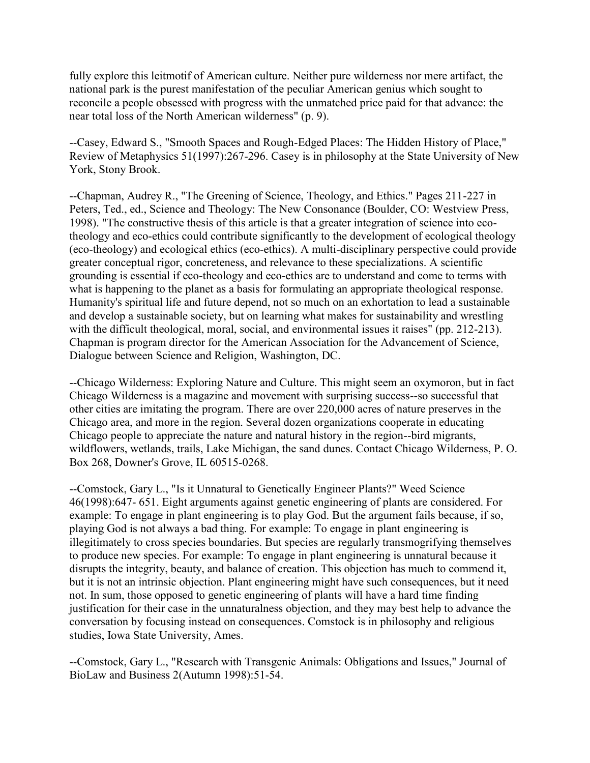fully explore this leitmotif of American culture. Neither pure wilderness nor mere artifact, the national park is the purest manifestation of the peculiar American genius which sought to reconcile a people obsessed with progress with the unmatched price paid for that advance: the near total loss of the North American wilderness" (p. 9).

--Casey, Edward S., "Smooth Spaces and Rough-Edged Places: The Hidden History of Place," Review of Metaphysics 51(1997):267-296. Casey is in philosophy at the State University of New York, Stony Brook.

--Chapman, Audrey R., "The Greening of Science, Theology, and Ethics." Pages 211-227 in Peters, Ted., ed., Science and Theology: The New Consonance (Boulder, CO: Westview Press, 1998). "The constructive thesis of this article is that a greater integration of science into ecotheology and eco-ethics could contribute significantly to the development of ecological theology (eco-theology) and ecological ethics (eco-ethics). A multi-disciplinary perspective could provide greater conceptual rigor, concreteness, and relevance to these specializations. A scientific grounding is essential if eco-theology and eco-ethics are to understand and come to terms with what is happening to the planet as a basis for formulating an appropriate theological response. Humanity's spiritual life and future depend, not so much on an exhortation to lead a sustainable and develop a sustainable society, but on learning what makes for sustainability and wrestling with the difficult theological, moral, social, and environmental issues it raises" (pp. 212-213). Chapman is program director for the American Association for the Advancement of Science, Dialogue between Science and Religion, Washington, DC.

--Chicago Wilderness: Exploring Nature and Culture. This might seem an oxymoron, but in fact Chicago Wilderness is a magazine and movement with surprising success--so successful that other cities are imitating the program. There are over 220,000 acres of nature preserves in the Chicago area, and more in the region. Several dozen organizations cooperate in educating Chicago people to appreciate the nature and natural history in the region--bird migrants, wildflowers, wetlands, trails, Lake Michigan, the sand dunes. Contact Chicago Wilderness, P. O. Box 268, Downer's Grove, IL 60515-0268.

--Comstock, Gary L., "Is it Unnatural to Genetically Engineer Plants?" Weed Science 46(1998):647- 651. Eight arguments against genetic engineering of plants are considered. For example: To engage in plant engineering is to play God. But the argument fails because, if so, playing God is not always a bad thing. For example: To engage in plant engineering is illegitimately to cross species boundaries. But species are regularly transmogrifying themselves to produce new species. For example: To engage in plant engineering is unnatural because it disrupts the integrity, beauty, and balance of creation. This objection has much to commend it, but it is not an intrinsic objection. Plant engineering might have such consequences, but it need not. In sum, those opposed to genetic engineering of plants will have a hard time finding justification for their case in the unnaturalness objection, and they may best help to advance the conversation by focusing instead on consequences. Comstock is in philosophy and religious studies, Iowa State University, Ames.

--Comstock, Gary L., "Research with Transgenic Animals: Obligations and Issues," Journal of BioLaw and Business 2(Autumn 1998):51-54.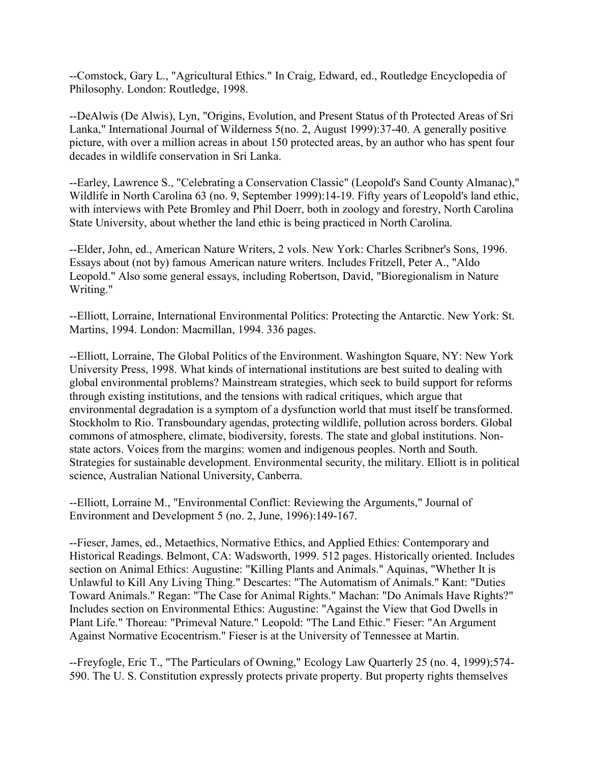--Comstock, Gary L., "Agricultural Ethics." In Craig, Edward, ed., Routledge Encyclopedia of Philosophy. London: Routledge, 1998.

--DeAlwis (De Alwis), Lyn, "Origins, Evolution, and Present Status of th Protected Areas of Sri Lanka," International Journal of Wilderness 5(no. 2, August 1999):37-40. A generally positive picture, with over a million acreas in about 150 protected areas, by an author who has spent four decades in wildlife conservation in Sri Lanka.

--Earley, Lawrence S., "Celebrating a Conservation Classic" (Leopold's Sand County Almanac)," Wildlife in North Carolina 63 (no. 9, September 1999):14-19. Fifty years of Leopold's land ethic, with interviews with Pete Bromley and Phil Doerr, both in zoology and forestry, North Carolina State University, about whether the land ethic is being practiced in North Carolina.

--Elder, John, ed., American Nature Writers, 2 vols. New York: Charles Scribner's Sons, 1996. Essays about (not by) famous American nature writers. Includes Fritzell, Peter A., "Aldo Leopold." Also some general essays, including Robertson, David, "Bioregionalism in Nature Writing."

--Elliott, Lorraine, International Environmental Politics: Protecting the Antarctic. New York: St. Martins, 1994. London: Macmillan, 1994. 336 pages.

--Elliott, Lorraine, The Global Politics of the Environment. Washington Square, NY: New York University Press, 1998. What kinds of international institutions are best suited to dealing with global environmental problems? Mainstream strategies, which seek to build support for reforms through existing institutions, and the tensions with radical critiques, which argue that environmental degradation is a symptom of a dysfunction world that must itself be transformed. Stockholm to Rio. Transboundary agendas, protecting wildlife, pollution across borders. Global commons of atmosphere, climate, biodiversity, forests. The state and global institutions. Nonstate actors. Voices from the margins: women and indigenous peoples. North and South. Strategies for sustainable development. Environmental security, the military. Elliott is in political science, Australian National University, Canberra.

--Elliott, Lorraine M., "Environmental Conflict: Reviewing the Arguments," Journal of Environment and Development 5 (no. 2, June, 1996):149-167.

--Fieser, James, ed., Metaethics, Normative Ethics, and Applied Ethics: Contemporary and Historical Readings. Belmont, CA: Wadsworth, 1999. 512 pages. Historically oriented. Includes section on Animal Ethics: Augustine: "Killing Plants and Animals." Aquinas, "Whether It is Unlawful to Kill Any Living Thing." Descartes: "The Automatism of Animals." Kant: "Duties Toward Animals." Regan: "The Case for Animal Rights." Machan: "Do Animals Have Rights?" Includes section on Environmental Ethics: Augustine: "Against the View that God Dwells in Plant Life." Thoreau: "Primeval Nature." Leopold: "The Land Ethic." Fieser: "An Argument Against Normative Ecocentrism." Fieser is at the University of Tennessee at Martin.

--Freyfogle, Eric T., "The Particulars of Owning," Ecology Law Quarterly 25 (no. 4, 1999);574- 590. The U. S. Constitution expressly protects private property. But property rights themselves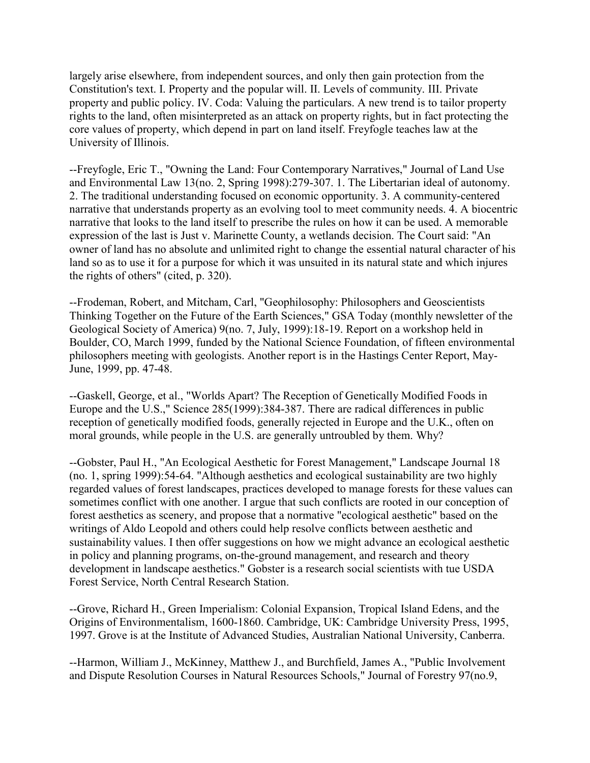largely arise elsewhere, from independent sources, and only then gain protection from the Constitution's text. I. Property and the popular will. II. Levels of community. III. Private property and public policy. IV. Coda: Valuing the particulars. A new trend is to tailor property rights to the land, often misinterpreted as an attack on property rights, but in fact protecting the core values of property, which depend in part on land itself. Freyfogle teaches law at the University of Illinois.

--Freyfogle, Eric T., "Owning the Land: Four Contemporary Narratives," Journal of Land Use and Environmental Law 13(no. 2, Spring 1998):279-307. 1. The Libertarian ideal of autonomy. 2. The traditional understanding focused on economic opportunity. 3. A community-centered narrative that understands property as an evolving tool to meet community needs. 4. A biocentric narrative that looks to the land itself to prescribe the rules on how it can be used. A memorable expression of the last is Just v. Marinette County, a wetlands decision. The Court said: "An owner of land has no absolute and unlimited right to change the essential natural character of his land so as to use it for a purpose for which it was unsuited in its natural state and which injures the rights of others" (cited, p. 320).

--Frodeman, Robert, and Mitcham, Carl, "Geophilosophy: Philosophers and Geoscientists Thinking Together on the Future of the Earth Sciences," GSA Today (monthly newsletter of the Geological Society of America) 9(no. 7, July, 1999):18-19. Report on a workshop held in Boulder, CO, March 1999, funded by the National Science Foundation, of fifteen environmental philosophers meeting with geologists. Another report is in the Hastings Center Report, May-June, 1999, pp. 47-48.

--Gaskell, George, et al., "Worlds Apart? The Reception of Genetically Modified Foods in Europe and the U.S.," Science 285(1999):384-387. There are radical differences in public reception of genetically modified foods, generally rejected in Europe and the U.K., often on moral grounds, while people in the U.S. are generally untroubled by them. Why?

--Gobster, Paul H., "An Ecological Aesthetic for Forest Management," Landscape Journal 18 (no. 1, spring 1999):54-64. "Although aesthetics and ecological sustainability are two highly regarded values of forest landscapes, practices developed to manage forests for these values can sometimes conflict with one another. I argue that such conflicts are rooted in our conception of forest aesthetics as scenery, and propose that a normative "ecological aesthetic" based on the writings of Aldo Leopold and others could help resolve conflicts between aesthetic and sustainability values. I then offer suggestions on how we might advance an ecological aesthetic in policy and planning programs, on-the-ground management, and research and theory development in landscape aesthetics." Gobster is a research social scientists with tue USDA Forest Service, North Central Research Station.

--Grove, Richard H., Green Imperialism: Colonial Expansion, Tropical Island Edens, and the Origins of Environmentalism, 1600-1860. Cambridge, UK: Cambridge University Press, 1995, 1997. Grove is at the Institute of Advanced Studies, Australian National University, Canberra.

--Harmon, William J., McKinney, Matthew J., and Burchfield, James A., "Public Involvement and Dispute Resolution Courses in Natural Resources Schools," Journal of Forestry 97(no.9,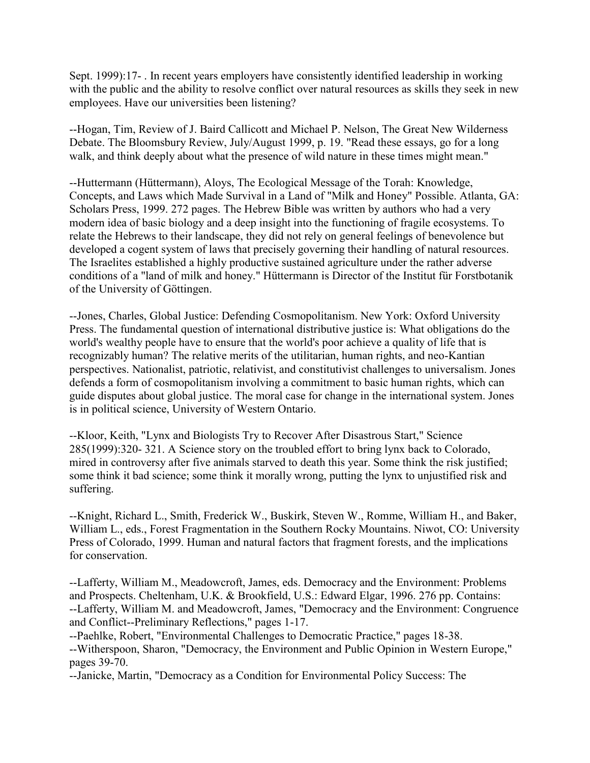Sept. 1999):17- . In recent years employers have consistently identified leadership in working with the public and the ability to resolve conflict over natural resources as skills they seek in new employees. Have our universities been listening?

--Hogan, Tim, Review of J. Baird Callicott and Michael P. Nelson, The Great New Wilderness Debate. The Bloomsbury Review, July/August 1999, p. 19. "Read these essays, go for a long walk, and think deeply about what the presence of wild nature in these times might mean."

--Huttermann (Hüttermann), Aloys, The Ecological Message of the Torah: Knowledge, Concepts, and Laws which Made Survival in a Land of "Milk and Honey" Possible. Atlanta, GA: Scholars Press, 1999. 272 pages. The Hebrew Bible was written by authors who had a very modern idea of basic biology and a deep insight into the functioning of fragile ecosystems. To relate the Hebrews to their landscape, they did not rely on general feelings of benevolence but developed a cogent system of laws that precisely governing their handling of natural resources. The Israelites established a highly productive sustained agriculture under the rather adverse conditions of a "land of milk and honey." Hüttermann is Director of the Institut für Forstbotanik of the University of Göttingen.

--Jones, Charles, Global Justice: Defending Cosmopolitanism. New York: Oxford University Press. The fundamental question of international distributive justice is: What obligations do the world's wealthy people have to ensure that the world's poor achieve a quality of life that is recognizably human? The relative merits of the utilitarian, human rights, and neo-Kantian perspectives. Nationalist, patriotic, relativist, and constitutivist challenges to universalism. Jones defends a form of cosmopolitanism involving a commitment to basic human rights, which can guide disputes about global justice. The moral case for change in the international system. Jones is in political science, University of Western Ontario.

--Kloor, Keith, "Lynx and Biologists Try to Recover After Disastrous Start," Science 285(1999):320- 321. A Science story on the troubled effort to bring lynx back to Colorado, mired in controversy after five animals starved to death this year. Some think the risk justified; some think it bad science; some think it morally wrong, putting the lynx to unjustified risk and suffering.

--Knight, Richard L., Smith, Frederick W., Buskirk, Steven W., Romme, William H., and Baker, William L., eds., Forest Fragmentation in the Southern Rocky Mountains. Niwot, CO: University Press of Colorado, 1999. Human and natural factors that fragment forests, and the implications for conservation.

--Lafferty, William M., Meadowcroft, James, eds. Democracy and the Environment: Problems and Prospects. Cheltenham, U.K. & Brookfield, U.S.: Edward Elgar, 1996. 276 pp. Contains: --Lafferty, William M. and Meadowcroft, James, "Democracy and the Environment: Congruence and Conflict--Preliminary Reflections," pages 1-17.

--Paehlke, Robert, "Environmental Challenges to Democratic Practice," pages 18-38. --Witherspoon, Sharon, "Democracy, the Environment and Public Opinion in Western Europe," pages 39-70.

--Janicke, Martin, "Democracy as a Condition for Environmental Policy Success: The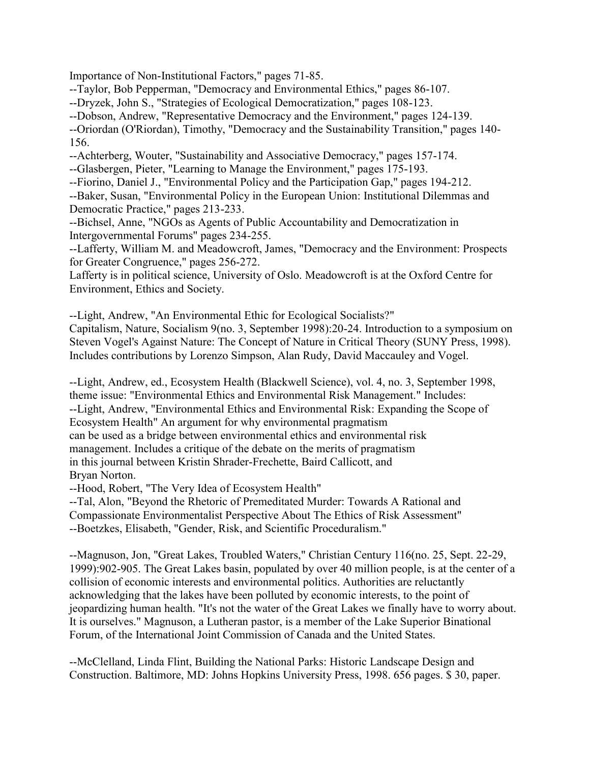Importance of Non-Institutional Factors," pages 71-85.

--Taylor, Bob Pepperman, "Democracy and Environmental Ethics," pages 86-107.

--Dryzek, John S., "Strategies of Ecological Democratization," pages 108-123.

--Dobson, Andrew, "Representative Democracy and the Environment," pages 124-139.

--Oriordan (O'Riordan), Timothy, "Democracy and the Sustainability Transition," pages 140- 156.

--Achterberg, Wouter, "Sustainability and Associative Democracy," pages 157-174.

--Glasbergen, Pieter, "Learning to Manage the Environment," pages 175-193.

--Fiorino, Daniel J., "Environmental Policy and the Participation Gap," pages 194-212.

--Baker, Susan, "Environmental Policy in the European Union: Institutional Dilemmas and Democratic Practice," pages 213-233.

--Bichsel, Anne, "NGOs as Agents of Public Accountability and Democratization in Intergovernmental Forums" pages 234-255.

--Lafferty, William M. and Meadowcroft, James, "Democracy and the Environment: Prospects for Greater Congruence," pages 256-272.

Lafferty is in political science, University of Oslo. Meadowcroft is at the Oxford Centre for Environment, Ethics and Society.

--Light, Andrew, "An Environmental Ethic for Ecological Socialists?" Capitalism, Nature, Socialism 9(no. 3, September 1998):20-24. Introduction to a symposium on Steven Vogel's Against Nature: The Concept of Nature in Critical Theory (SUNY Press, 1998).

Includes contributions by Lorenzo Simpson, Alan Rudy, David Maccauley and Vogel.

--Light, Andrew, ed., Ecosystem Health (Blackwell Science), vol. 4, no. 3, September 1998, theme issue: "Environmental Ethics and Environmental Risk Management." Includes: --Light, Andrew, "Environmental Ethics and Environmental Risk: Expanding the Scope of Ecosystem Health" An argument for why environmental pragmatism can be used as a bridge between environmental ethics and environmental risk management. Includes a critique of the debate on the merits of pragmatism in this journal between Kristin Shrader-Frechette, Baird Callicott, and Bryan Norton.

--Hood, Robert, "The Very Idea of Ecosystem Health"

--Tal, Alon, "Beyond the Rhetoric of Premeditated Murder: Towards A Rational and Compassionate Environmentalist Perspective About The Ethics of Risk Assessment"

--Boetzkes, Elisabeth, "Gender, Risk, and Scientific Proceduralism."

--Magnuson, Jon, "Great Lakes, Troubled Waters," Christian Century 116(no. 25, Sept. 22-29, 1999):902-905. The Great Lakes basin, populated by over 40 million people, is at the center of a collision of economic interests and environmental politics. Authorities are reluctantly acknowledging that the lakes have been polluted by economic interests, to the point of jeopardizing human health. "It's not the water of the Great Lakes we finally have to worry about. It is ourselves." Magnuson, a Lutheran pastor, is a member of the Lake Superior Binational Forum, of the International Joint Commission of Canada and the United States.

--McClelland, Linda Flint, Building the National Parks: Historic Landscape Design and Construction. Baltimore, MD: Johns Hopkins University Press, 1998. 656 pages. \$ 30, paper.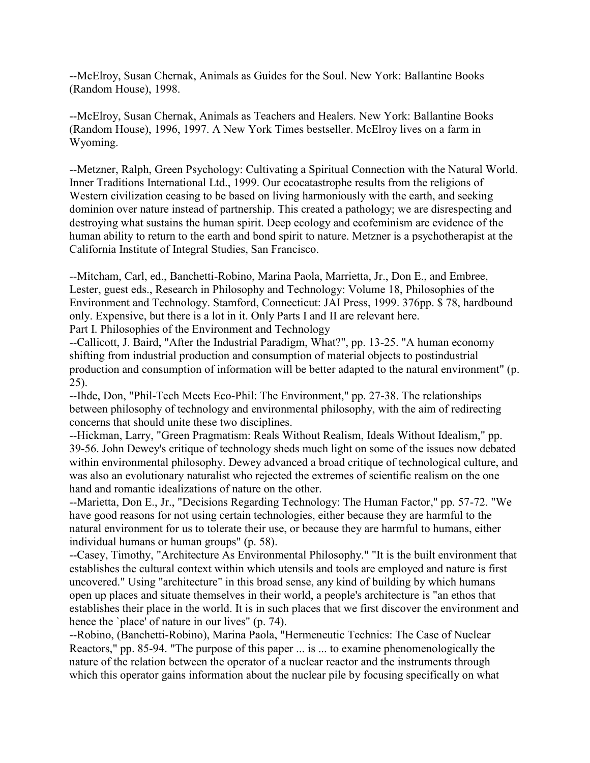--McElroy, Susan Chernak, Animals as Guides for the Soul. New York: Ballantine Books (Random House), 1998.

--McElroy, Susan Chernak, Animals as Teachers and Healers. New York: Ballantine Books (Random House), 1996, 1997. A New York Times bestseller. McElroy lives on a farm in Wyoming.

--Metzner, Ralph, Green Psychology: Cultivating a Spiritual Connection with the Natural World. Inner Traditions International Ltd., 1999. Our ecocatastrophe results from the religions of Western civilization ceasing to be based on living harmoniously with the earth, and seeking dominion over nature instead of partnership. This created a pathology; we are disrespecting and destroying what sustains the human spirit. Deep ecology and ecofeminism are evidence of the human ability to return to the earth and bond spirit to nature. Metzner is a psychotherapist at the California Institute of Integral Studies, San Francisco.

--Mitcham, Carl, ed., Banchetti-Robino, Marina Paola, Marrietta, Jr., Don E., and Embree, Lester, guest eds., Research in Philosophy and Technology: Volume 18, Philosophies of the Environment and Technology. Stamford, Connecticut: JAI Press, 1999. 376pp. \$ 78, hardbound only. Expensive, but there is a lot in it. Only Parts I and II are relevant here. Part I. Philosophies of the Environment and Technology

--Callicott, J. Baird, "After the Industrial Paradigm, What?", pp. 13-25. "A human economy shifting from industrial production and consumption of material objects to postindustrial production and consumption of information will be better adapted to the natural environment" (p. 25).

--Ihde, Don, "Phil-Tech Meets Eco-Phil: The Environment," pp. 27-38. The relationships between philosophy of technology and environmental philosophy, with the aim of redirecting concerns that should unite these two disciplines.

--Hickman, Larry, "Green Pragmatism: Reals Without Realism, Ideals Without Idealism," pp. 39-56. John Dewey's critique of technology sheds much light on some of the issues now debated within environmental philosophy. Dewey advanced a broad critique of technological culture, and was also an evolutionary naturalist who rejected the extremes of scientific realism on the one hand and romantic idealizations of nature on the other.

--Marietta, Don E., Jr., "Decisions Regarding Technology: The Human Factor," pp. 57-72. "We have good reasons for not using certain technologies, either because they are harmful to the natural environment for us to tolerate their use, or because they are harmful to humans, either individual humans or human groups" (p. 58).

--Casey, Timothy, "Architecture As Environmental Philosophy." "It is the built environment that establishes the cultural context within which utensils and tools are employed and nature is first uncovered." Using "architecture" in this broad sense, any kind of building by which humans open up places and situate themselves in their world, a people's architecture is "an ethos that establishes their place in the world. It is in such places that we first discover the environment and hence the 'place' of nature in our lives" (p. 74).

--Robino, (Banchetti-Robino), Marina Paola, "Hermeneutic Technics: The Case of Nuclear Reactors," pp. 85-94. "The purpose of this paper ... is ... to examine phenomenologically the nature of the relation between the operator of a nuclear reactor and the instruments through which this operator gains information about the nuclear pile by focusing specifically on what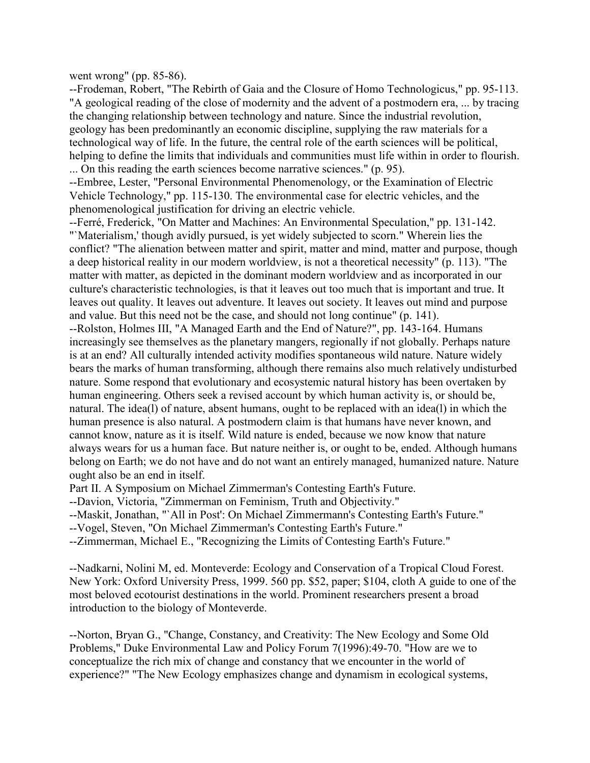went wrong" (pp. 85-86).

--Frodeman, Robert, "The Rebirth of Gaia and the Closure of Homo Technologicus," pp. 95-113. "A geological reading of the close of modernity and the advent of a postmodern era, ... by tracing the changing relationship between technology and nature. Since the industrial revolution, geology has been predominantly an economic discipline, supplying the raw materials for a technological way of life. In the future, the central role of the earth sciences will be political, helping to define the limits that individuals and communities must life within in order to flourish. ... On this reading the earth sciences become narrative sciences." (p. 95).

--Embree, Lester, "Personal Environmental Phenomenology, or the Examination of Electric Vehicle Technology," pp. 115-130. The environmental case for electric vehicles, and the phenomenological justification for driving an electric vehicle.

--Ferré, Frederick, "On Matter and Machines: An Environmental Speculation," pp. 131-142. "`Materialism,' though avidly pursued, is yet widely subjected to scorn." Wherein lies the conflict? "The alienation between matter and spirit, matter and mind, matter and purpose, though a deep historical reality in our modern worldview, is not a theoretical necessity" (p. 113). "The matter with matter, as depicted in the dominant modern worldview and as incorporated in our culture's characteristic technologies, is that it leaves out too much that is important and true. It leaves out quality. It leaves out adventure. It leaves out society. It leaves out mind and purpose and value. But this need not be the case, and should not long continue" (p. 141).

--Rolston, Holmes III, "A Managed Earth and the End of Nature?", pp. 143-164. Humans increasingly see themselves as the planetary mangers, regionally if not globally. Perhaps nature is at an end? All culturally intended activity modifies spontaneous wild nature. Nature widely bears the marks of human transforming, although there remains also much relatively undisturbed nature. Some respond that evolutionary and ecosystemic natural history has been overtaken by human engineering. Others seek a revised account by which human activity is, or should be, natural. The idea(l) of nature, absent humans, ought to be replaced with an idea(l) in which the human presence is also natural. A postmodern claim is that humans have never known, and cannot know, nature as it is itself. Wild nature is ended, because we now know that nature always wears for us a human face. But nature neither is, or ought to be, ended. Although humans belong on Earth; we do not have and do not want an entirely managed, humanized nature. Nature ought also be an end in itself.

Part II. A Symposium on Michael Zimmerman's Contesting Earth's Future.

--Davion, Victoria, "Zimmerman on Feminism, Truth and Objectivity."

--Maskit, Jonathan, "`All in Post': On Michael Zimmermann's Contesting Earth's Future."

--Vogel, Steven, "On Michael Zimmerman's Contesting Earth's Future."

--Zimmerman, Michael E., "Recognizing the Limits of Contesting Earth's Future."

--Nadkarni, Nolini M, ed. Monteverde: Ecology and Conservation of a Tropical Cloud Forest. New York: Oxford University Press, 1999. 560 pp. \$52, paper; \$104, cloth A guide to one of the most beloved ecotourist destinations in the world. Prominent researchers present a broad introduction to the biology of Monteverde.

--Norton, Bryan G., "Change, Constancy, and Creativity: The New Ecology and Some Old Problems," Duke Environmental Law and Policy Forum 7(1996):49-70. "How are we to conceptualize the rich mix of change and constancy that we encounter in the world of experience?" "The New Ecology emphasizes change and dynamism in ecological systems,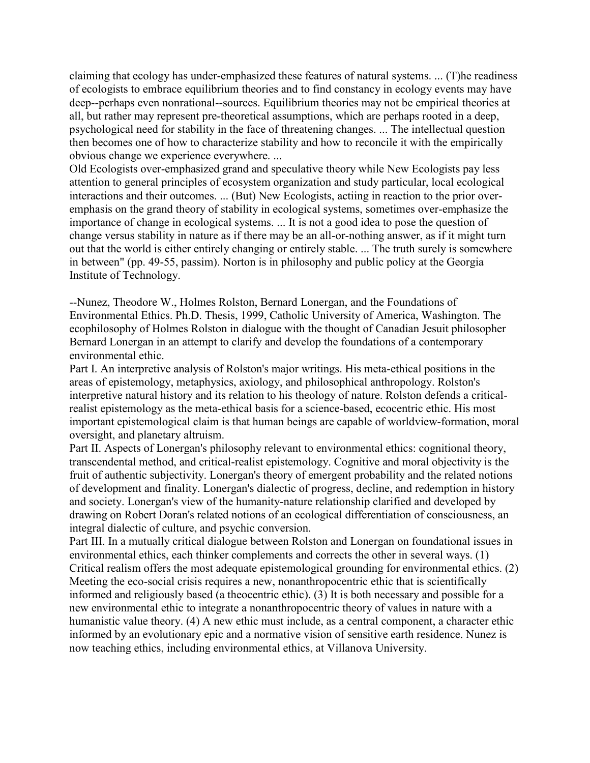claiming that ecology has under-emphasized these features of natural systems. ... (T)he readiness of ecologists to embrace equilibrium theories and to find constancy in ecology events may have deep--perhaps even nonrational--sources. Equilibrium theories may not be empirical theories at all, but rather may represent pre-theoretical assumptions, which are perhaps rooted in a deep, psychological need for stability in the face of threatening changes. ... The intellectual question then becomes one of how to characterize stability and how to reconcile it with the empirically obvious change we experience everywhere. ...

Old Ecologists over-emphasized grand and speculative theory while New Ecologists pay less attention to general principles of ecosystem organization and study particular, local ecological interactions and their outcomes. ... (But) New Ecologists, actiing in reaction to the prior overemphasis on the grand theory of stability in ecological systems, sometimes over-emphasize the importance of change in ecological systems. ... It is not a good idea to pose the question of change versus stability in nature as if there may be an all-or-nothing answer, as if it might turn out that the world is either entirely changing or entirely stable. ... The truth surely is somewhere in between" (pp. 49-55, passim). Norton is in philosophy and public policy at the Georgia Institute of Technology.

--Nunez, Theodore W., Holmes Rolston, Bernard Lonergan, and the Foundations of Environmental Ethics. Ph.D. Thesis, 1999, Catholic University of America, Washington. The ecophilosophy of Holmes Rolston in dialogue with the thought of Canadian Jesuit philosopher Bernard Lonergan in an attempt to clarify and develop the foundations of a contemporary environmental ethic.

Part I. An interpretive analysis of Rolston's major writings. His meta-ethical positions in the areas of epistemology, metaphysics, axiology, and philosophical anthropology. Rolston's interpretive natural history and its relation to his theology of nature. Rolston defends a criticalrealist epistemology as the meta-ethical basis for a science-based, ecocentric ethic. His most important epistemological claim is that human beings are capable of worldview-formation, moral oversight, and planetary altruism.

Part II. Aspects of Lonergan's philosophy relevant to environmental ethics: cognitional theory, transcendental method, and critical-realist epistemology. Cognitive and moral objectivity is the fruit of authentic subjectivity. Lonergan's theory of emergent probability and the related notions of development and finality. Lonergan's dialectic of progress, decline, and redemption in history and society. Lonergan's view of the humanity-nature relationship clarified and developed by drawing on Robert Doran's related notions of an ecological differentiation of consciousness, an integral dialectic of culture, and psychic conversion.

Part III. In a mutually critical dialogue between Rolston and Lonergan on foundational issues in environmental ethics, each thinker complements and corrects the other in several ways. (1) Critical realism offers the most adequate epistemological grounding for environmental ethics. (2) Meeting the eco-social crisis requires a new, nonanthropocentric ethic that is scientifically informed and religiously based (a theocentric ethic). (3) It is both necessary and possible for a new environmental ethic to integrate a nonanthropocentric theory of values in nature with a humanistic value theory. (4) A new ethic must include, as a central component, a character ethic informed by an evolutionary epic and a normative vision of sensitive earth residence. Nunez is now teaching ethics, including environmental ethics, at Villanova University.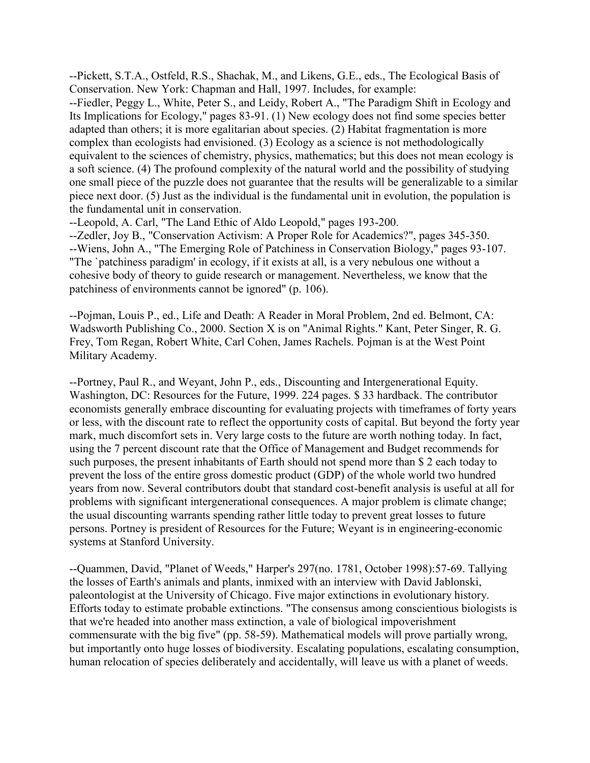--Pickett, S.T.A., Ostfeld, R.S., Shachak, M., and Likens, G.E., eds., The Ecological Basis of Conservation. New York: Chapman and Hall, 1997. Includes, for example:

--Fiedler, Peggy L., White, Peter S., and Leidy, Robert A., "The Paradigm Shift in Ecology and Its Implications for Ecology," pages 83-91. (1) New ecology does not find some species better adapted than others; it is more egalitarian about species. (2) Habitat fragmentation is more complex than ecologists had envisioned. (3) Ecology as a science is not methodologically equivalent to the sciences of chemistry, physics, mathematics; but this does not mean ecology is a soft science. (4) The profound complexity of the natural world and the possibility of studying one small piece of the puzzle does not guarantee that the results will be generalizable to a similar piece next door. (5) Just as the individual is the fundamental unit in evolution, the population is the fundamental unit in conservation.

--Leopold, A. Carl, "The Land Ethic of Aldo Leopold," pages 193-200.

--Zedler, Joy B., "Conservation Activism: A Proper Role for Academics?", pages 345-350. --Wiens, John A., "The Emerging Role of Patchiness in Conservation Biology," pages 93-107. "The `patchiness paradigm' in ecology, if it exists at all, is a very nebulous one without a cohesive body of theory to guide research or management. Nevertheless, we know that the patchiness of environments cannot be ignored" (p. 106).

--Pojman, Louis P., ed., Life and Death: A Reader in Moral Problem, 2nd ed. Belmont, CA: Wadsworth Publishing Co., 2000. Section X is on "Animal Rights." Kant, Peter Singer, R. G. Frey, Tom Regan, Robert White, Carl Cohen, James Rachels. Pojman is at the West Point Military Academy.

--Portney, Paul R., and Weyant, John P., eds., Discounting and Intergenerational Equity. Washington, DC: Resources for the Future, 1999. 224 pages. \$ 33 hardback. The contributor economists generally embrace discounting for evaluating projects with timeframes of forty years or less, with the discount rate to reflect the opportunity costs of capital. But beyond the forty year mark, much discomfort sets in. Very large costs to the future are worth nothing today. In fact, using the 7 percent discount rate that the Office of Management and Budget recommends for such purposes, the present inhabitants of Earth should not spend more than \$ 2 each today to prevent the loss of the entire gross domestic product (GDP) of the whole world two hundred years from now. Several contributors doubt that standard cost-benefit analysis is useful at all for problems with significant intergenerational consequences. A major problem is climate change; the usual discounting warrants spending rather little today to prevent great losses to future persons. Portney is president of Resources for the Future; Weyant is in engineering-economic systems at Stanford University.

--Quammen, David, "Planet of Weeds," Harper's 297(no. 1781, October 1998):57-69. Tallying the losses of Earth's animals and plants, inmixed with an interview with David Jablonski, paleontologist at the University of Chicago. Five major extinctions in evolutionary history. Efforts today to estimate probable extinctions. "The consensus among conscientious biologists is that we're headed into another mass extinction, a vale of biological impoverishment commensurate with the big five" (pp. 58-59). Mathematical models will prove partially wrong, but importantly onto huge losses of biodiversity. Escalating populations, escalating consumption, human relocation of species deliberately and accidentally, will leave us with a planet of weeds.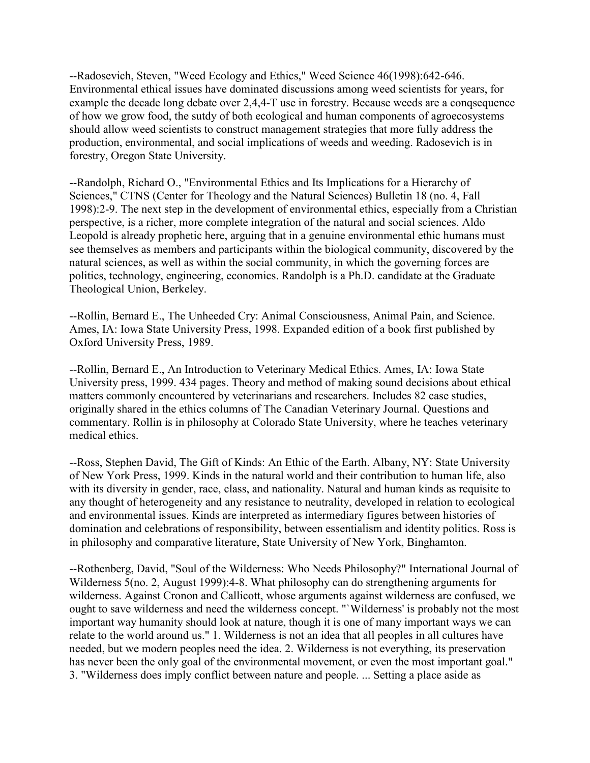--Radosevich, Steven, "Weed Ecology and Ethics," Weed Science 46(1998):642-646. Environmental ethical issues have dominated discussions among weed scientists for years, for example the decade long debate over 2,4,4-T use in forestry. Because weeds are a conqsequence of how we grow food, the sutdy of both ecological and human components of agroecosystems should allow weed scientists to construct management strategies that more fully address the production, environmental, and social implications of weeds and weeding. Radosevich is in forestry, Oregon State University.

--Randolph, Richard O., "Environmental Ethics and Its Implications for a Hierarchy of Sciences," CTNS (Center for Theology and the Natural Sciences) Bulletin 18 (no. 4, Fall 1998):2-9. The next step in the development of environmental ethics, especially from a Christian perspective, is a richer, more complete integration of the natural and social sciences. Aldo Leopold is already prophetic here, arguing that in a genuine environmental ethic humans must see themselves as members and participants within the biological community, discovered by the natural sciences, as well as within the social community, in which the governing forces are politics, technology, engineering, economics. Randolph is a Ph.D. candidate at the Graduate Theological Union, Berkeley.

--Rollin, Bernard E., The Unheeded Cry: Animal Consciousness, Animal Pain, and Science. Ames, IA: Iowa State University Press, 1998. Expanded edition of a book first published by Oxford University Press, 1989.

--Rollin, Bernard E., An Introduction to Veterinary Medical Ethics. Ames, IA: Iowa State University press, 1999. 434 pages. Theory and method of making sound decisions about ethical matters commonly encountered by veterinarians and researchers. Includes 82 case studies, originally shared in the ethics columns of The Canadian Veterinary Journal. Questions and commentary. Rollin is in philosophy at Colorado State University, where he teaches veterinary medical ethics.

--Ross, Stephen David, The Gift of Kinds: An Ethic of the Earth. Albany, NY: State University of New York Press, 1999. Kinds in the natural world and their contribution to human life, also with its diversity in gender, race, class, and nationality. Natural and human kinds as requisite to any thought of heterogeneity and any resistance to neutrality, developed in relation to ecological and environmental issues. Kinds are interpreted as intermediary figures between histories of domination and celebrations of responsibility, between essentialism and identity politics. Ross is in philosophy and comparative literature, State University of New York, Binghamton.

--Rothenberg, David, "Soul of the Wilderness: Who Needs Philosophy?" International Journal of Wilderness 5(no. 2, August 1999):4-8. What philosophy can do strengthening arguments for wilderness. Against Cronon and Callicott, whose arguments against wilderness are confused, we ought to save wilderness and need the wilderness concept. "`Wilderness' is probably not the most important way humanity should look at nature, though it is one of many important ways we can relate to the world around us." 1. Wilderness is not an idea that all peoples in all cultures have needed, but we modern peoples need the idea. 2. Wilderness is not everything, its preservation has never been the only goal of the environmental movement, or even the most important goal." 3. "Wilderness does imply conflict between nature and people. ... Setting a place aside as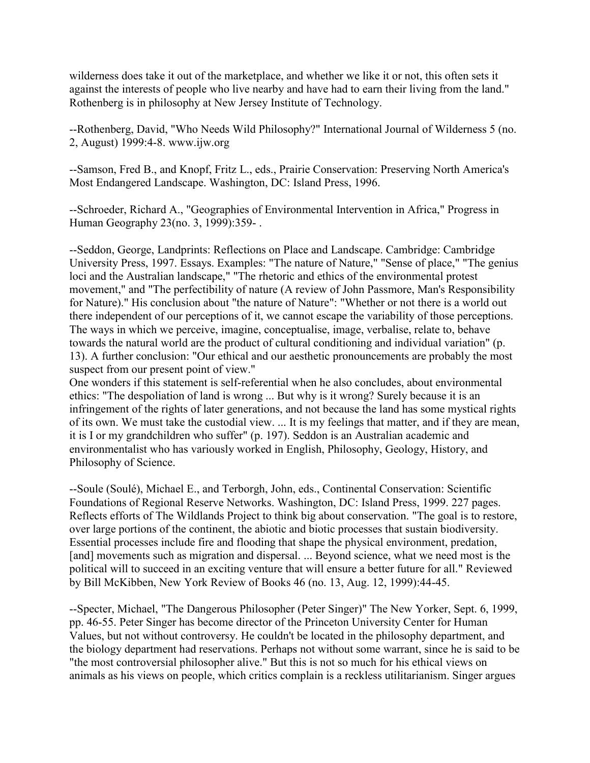wilderness does take it out of the marketplace, and whether we like it or not, this often sets it against the interests of people who live nearby and have had to earn their living from the land." Rothenberg is in philosophy at New Jersey Institute of Technology.

--Rothenberg, David, "Who Needs Wild Philosophy?" International Journal of Wilderness 5 (no. 2, August) 1999:4-8. www.ijw.org

--Samson, Fred B., and Knopf, Fritz L., eds., Prairie Conservation: Preserving North America's Most Endangered Landscape. Washington, DC: Island Press, 1996.

--Schroeder, Richard A., "Geographies of Environmental Intervention in Africa," Progress in Human Geography 23(no. 3, 1999):359- .

--Seddon, George, Landprints: Reflections on Place and Landscape. Cambridge: Cambridge University Press, 1997. Essays. Examples: "The nature of Nature," "Sense of place," "The genius loci and the Australian landscape," "The rhetoric and ethics of the environmental protest movement," and "The perfectibility of nature (A review of John Passmore, Man's Responsibility for Nature)." His conclusion about "the nature of Nature": "Whether or not there is a world out there independent of our perceptions of it, we cannot escape the variability of those perceptions. The ways in which we perceive, imagine, conceptualise, image, verbalise, relate to, behave towards the natural world are the product of cultural conditioning and individual variation" (p. 13). A further conclusion: "Our ethical and our aesthetic pronouncements are probably the most suspect from our present point of view."

One wonders if this statement is self-referential when he also concludes, about environmental ethics: "The despoliation of land is wrong ... But why is it wrong? Surely because it is an infringement of the rights of later generations, and not because the land has some mystical rights of its own. We must take the custodial view. ... It is my feelings that matter, and if they are mean, it is I or my grandchildren who suffer" (p. 197). Seddon is an Australian academic and environmentalist who has variously worked in English, Philosophy, Geology, History, and Philosophy of Science.

--Soule (Soulé), Michael E., and Terborgh, John, eds., Continental Conservation: Scientific Foundations of Regional Reserve Networks. Washington, DC: Island Press, 1999. 227 pages. Reflects efforts of The Wildlands Project to think big about conservation. "The goal is to restore, over large portions of the continent, the abiotic and biotic processes that sustain biodiversity. Essential processes include fire and flooding that shape the physical environment, predation, [and] movements such as migration and dispersal. ... Beyond science, what we need most is the political will to succeed in an exciting venture that will ensure a better future for all." Reviewed by Bill McKibben, New York Review of Books 46 (no. 13, Aug. 12, 1999):44-45.

--Specter, Michael, "The Dangerous Philosopher (Peter Singer)" The New Yorker, Sept. 6, 1999, pp. 46-55. Peter Singer has become director of the Princeton University Center for Human Values, but not without controversy. He couldn't be located in the philosophy department, and the biology department had reservations. Perhaps not without some warrant, since he is said to be "the most controversial philosopher alive." But this is not so much for his ethical views on animals as his views on people, which critics complain is a reckless utilitarianism. Singer argues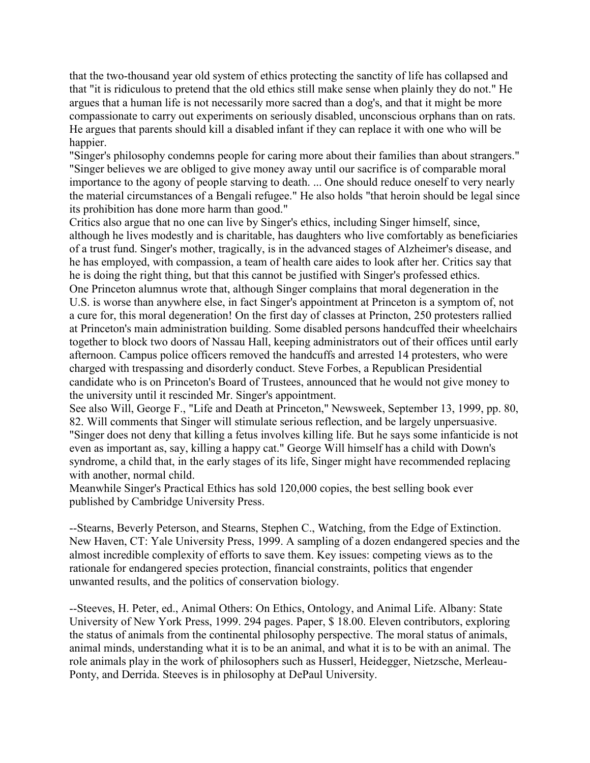that the two-thousand year old system of ethics protecting the sanctity of life has collapsed and that "it is ridiculous to pretend that the old ethics still make sense when plainly they do not." He argues that a human life is not necessarily more sacred than a dog's, and that it might be more compassionate to carry out experiments on seriously disabled, unconscious orphans than on rats. He argues that parents should kill a disabled infant if they can replace it with one who will be happier.

"Singer's philosophy condemns people for caring more about their families than about strangers." "Singer believes we are obliged to give money away until our sacrifice is of comparable moral importance to the agony of people starving to death. ... One should reduce oneself to very nearly the material circumstances of a Bengali refugee." He also holds "that heroin should be legal since its prohibition has done more harm than good."

Critics also argue that no one can live by Singer's ethics, including Singer himself, since, although he lives modestly and is charitable, has daughters who live comfortably as beneficiaries of a trust fund. Singer's mother, tragically, is in the advanced stages of Alzheimer's disease, and he has employed, with compassion, a team of health care aides to look after her. Critics say that he is doing the right thing, but that this cannot be justified with Singer's professed ethics. One Princeton alumnus wrote that, although Singer complains that moral degeneration in the U.S. is worse than anywhere else, in fact Singer's appointment at Princeton is a symptom of, not a cure for, this moral degeneration! On the first day of classes at Princton, 250 protesters rallied at Princeton's main administration building. Some disabled persons handcuffed their wheelchairs together to block two doors of Nassau Hall, keeping administrators out of their offices until early afternoon. Campus police officers removed the handcuffs and arrested 14 protesters, who were charged with trespassing and disorderly conduct. Steve Forbes, a Republican Presidential candidate who is on Princeton's Board of Trustees, announced that he would not give money to the university until it rescinded Mr. Singer's appointment.

See also Will, George F., "Life and Death at Princeton," Newsweek, September 13, 1999, pp. 80, 82. Will comments that Singer will stimulate serious reflection, and be largely unpersuasive. "Singer does not deny that killing a fetus involves killing life. But he says some infanticide is not even as important as, say, killing a happy cat." George Will himself has a child with Down's syndrome, a child that, in the early stages of its life, Singer might have recommended replacing with another, normal child.

Meanwhile Singer's Practical Ethics has sold 120,000 copies, the best selling book ever published by Cambridge University Press.

--Stearns, Beverly Peterson, and Stearns, Stephen C., Watching, from the Edge of Extinction. New Haven, CT: Yale University Press, 1999. A sampling of a dozen endangered species and the almost incredible complexity of efforts to save them. Key issues: competing views as to the rationale for endangered species protection, financial constraints, politics that engender unwanted results, and the politics of conservation biology.

--Steeves, H. Peter, ed., Animal Others: On Ethics, Ontology, and Animal Life. Albany: State University of New York Press, 1999. 294 pages. Paper, \$ 18.00. Eleven contributors, exploring the status of animals from the continental philosophy perspective. The moral status of animals, animal minds, understanding what it is to be an animal, and what it is to be with an animal. The role animals play in the work of philosophers such as Husserl, Heidegger, Nietzsche, Merleau-Ponty, and Derrida. Steeves is in philosophy at DePaul University.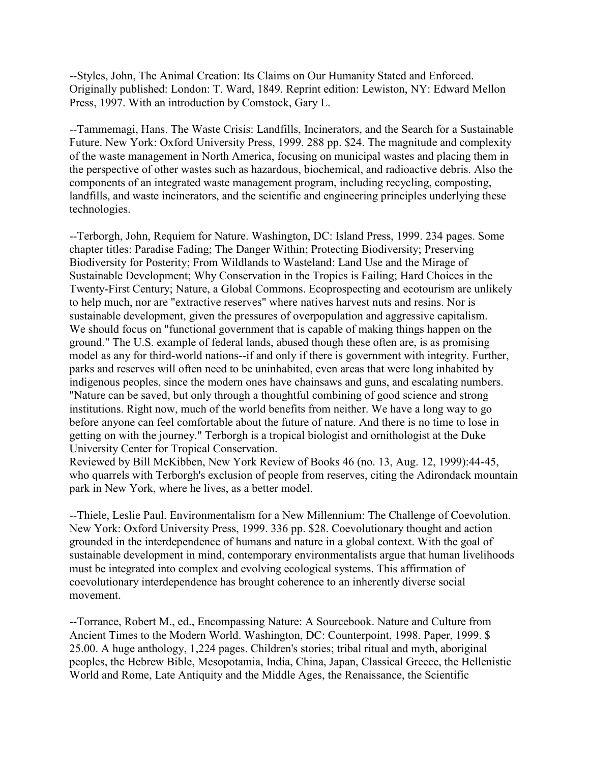--Styles, John, The Animal Creation: Its Claims on Our Humanity Stated and Enforced. Originally published: London: T. Ward, 1849. Reprint edition: Lewiston, NY: Edward Mellon Press, 1997. With an introduction by Comstock, Gary L.

--Tammemagi, Hans. The Waste Crisis: Landfills, Incinerators, and the Search for a Sustainable Future. New York: Oxford University Press, 1999. 288 pp. \$24. The magnitude and complexity of the waste management in North America, focusing on municipal wastes and placing them in the perspective of other wastes such as hazardous, biochemical, and radioactive debris. Also the components of an integrated waste management program, including recycling, composting, landfills, and waste incinerators, and the scientific and engineering principles underlying these technologies.

--Terborgh, John, Requiem for Nature. Washington, DC: Island Press, 1999. 234 pages. Some chapter titles: Paradise Fading; The Danger Within; Protecting Biodiversity; Preserving Biodiversity for Posterity; From Wildlands to Wasteland: Land Use and the Mirage of Sustainable Development; Why Conservation in the Tropics is Failing; Hard Choices in the Twenty-First Century; Nature, a Global Commons. Ecoprospecting and ecotourism are unlikely to help much, nor are "extractive reserves" where natives harvest nuts and resins. Nor is sustainable development, given the pressures of overpopulation and aggressive capitalism. We should focus on "functional government that is capable of making things happen on the ground." The U.S. example of federal lands, abused though these often are, is as promising model as any for third-world nations--if and only if there is government with integrity. Further, parks and reserves will often need to be uninhabited, even areas that were long inhabited by indigenous peoples, since the modern ones have chainsaws and guns, and escalating numbers. "Nature can be saved, but only through a thoughtful combining of good science and strong institutions. Right now, much of the world benefits from neither. We have a long way to go before anyone can feel comfortable about the future of nature. And there is no time to lose in getting on with the journey." Terborgh is a tropical biologist and ornithologist at the Duke University Center for Tropical Conservation.

Reviewed by Bill McKibben, New York Review of Books 46 (no. 13, Aug. 12, 1999):44-45, who quarrels with Terborgh's exclusion of people from reserves, citing the Adirondack mountain park in New York, where he lives, as a better model.

--Thiele, Leslie Paul. Environmentalism for a New Millennium: The Challenge of Coevolution. New York: Oxford University Press, 1999. 336 pp. \$28. Coevolutionary thought and action grounded in the interdependence of humans and nature in a global context. With the goal of sustainable development in mind, contemporary environmentalists argue that human livelihoods must be integrated into complex and evolving ecological systems. This affirmation of coevolutionary interdependence has brought coherence to an inherently diverse social movement.

--Torrance, Robert M., ed., Encompassing Nature: A Sourcebook. Nature and Culture from Ancient Times to the Modern World. Washington, DC: Counterpoint, 1998. Paper, 1999. \$ 25.00. A huge anthology, 1,224 pages. Children's stories; tribal ritual and myth, aboriginal peoples, the Hebrew Bible, Mesopotamia, India, China, Japan, Classical Greece, the Hellenistic World and Rome, Late Antiquity and the Middle Ages, the Renaissance, the Scientific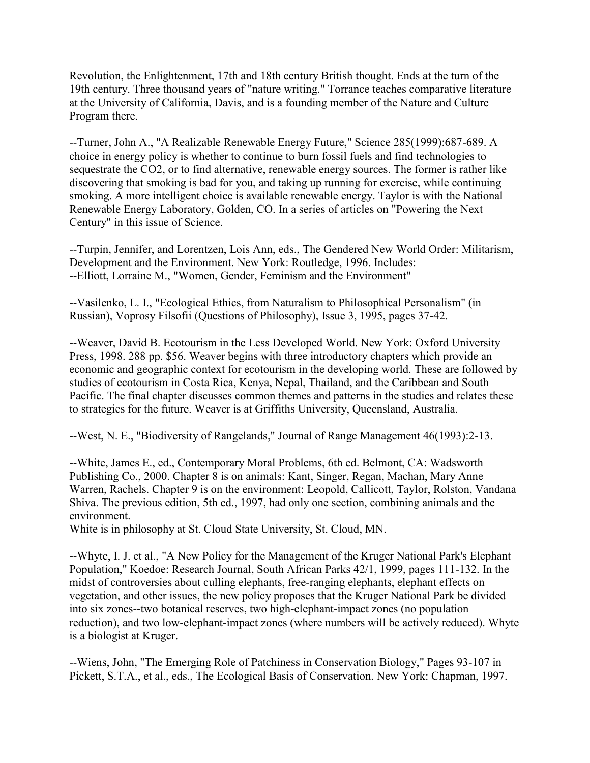Revolution, the Enlightenment, 17th and 18th century British thought. Ends at the turn of the 19th century. Three thousand years of "nature writing." Torrance teaches comparative literature at the University of California, Davis, and is a founding member of the Nature and Culture Program there.

--Turner, John A., "A Realizable Renewable Energy Future," Science 285(1999):687-689. A choice in energy policy is whether to continue to burn fossil fuels and find technologies to sequestrate the CO2, or to find alternative, renewable energy sources. The former is rather like discovering that smoking is bad for you, and taking up running for exercise, while continuing smoking. A more intelligent choice is available renewable energy. Taylor is with the National Renewable Energy Laboratory, Golden, CO. In a series of articles on "Powering the Next Century" in this issue of Science.

--Turpin, Jennifer, and Lorentzen, Lois Ann, eds., The Gendered New World Order: Militarism, Development and the Environment. New York: Routledge, 1996. Includes: --Elliott, Lorraine M., "Women, Gender, Feminism and the Environment"

--Vasilenko, L. I., "Ecological Ethics, from Naturalism to Philosophical Personalism" (in Russian), Voprosy Filsofii (Questions of Philosophy), Issue 3, 1995, pages 37-42.

--Weaver, David B. Ecotourism in the Less Developed World. New York: Oxford University Press, 1998. 288 pp. \$56. Weaver begins with three introductory chapters which provide an economic and geographic context for ecotourism in the developing world. These are followed by studies of ecotourism in Costa Rica, Kenya, Nepal, Thailand, and the Caribbean and South Pacific. The final chapter discusses common themes and patterns in the studies and relates these to strategies for the future. Weaver is at Griffiths University, Queensland, Australia.

--West, N. E., "Biodiversity of Rangelands," Journal of Range Management 46(1993):2-13.

--White, James E., ed., Contemporary Moral Problems, 6th ed. Belmont, CA: Wadsworth Publishing Co., 2000. Chapter 8 is on animals: Kant, Singer, Regan, Machan, Mary Anne Warren, Rachels. Chapter 9 is on the environment: Leopold, Callicott, Taylor, Rolston, Vandana Shiva. The previous edition, 5th ed., 1997, had only one section, combining animals and the environment.

White is in philosophy at St. Cloud State University, St. Cloud, MN.

--Whyte, I. J. et al., "A New Policy for the Management of the Kruger National Park's Elephant Population," Koedoe: Research Journal, South African Parks 42/1, 1999, pages 111-132. In the midst of controversies about culling elephants, free-ranging elephants, elephant effects on vegetation, and other issues, the new policy proposes that the Kruger National Park be divided into six zones--two botanical reserves, two high-elephant-impact zones (no population reduction), and two low-elephant-impact zones (where numbers will be actively reduced). Whyte is a biologist at Kruger.

--Wiens, John, "The Emerging Role of Patchiness in Conservation Biology," Pages 93-107 in Pickett, S.T.A., et al., eds., The Ecological Basis of Conservation. New York: Chapman, 1997.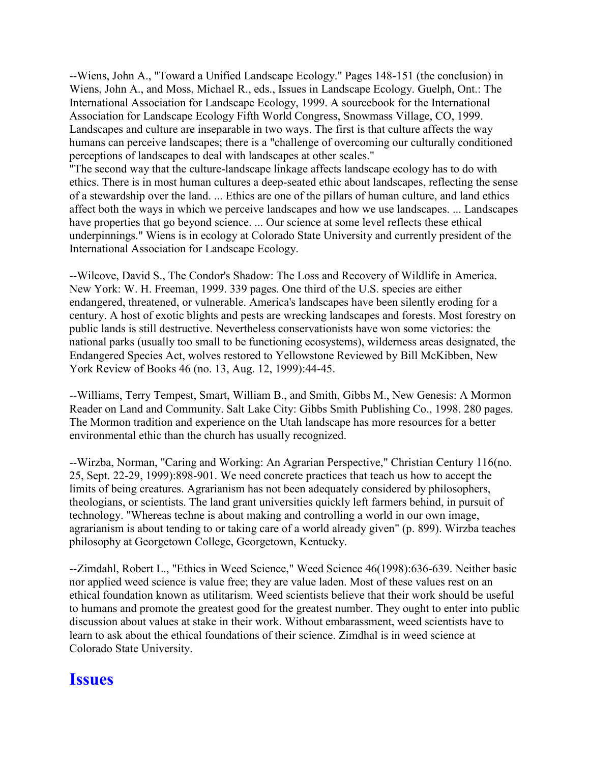--Wiens, John A., "Toward a Unified Landscape Ecology." Pages 148-151 (the conclusion) in Wiens, John A., and Moss, Michael R., eds., Issues in Landscape Ecology. Guelph, Ont.: The International Association for Landscape Ecology, 1999. A sourcebook for the International Association for Landscape Ecology Fifth World Congress, Snowmass Village, CO, 1999. Landscapes and culture are inseparable in two ways. The first is that culture affects the way humans can perceive landscapes; there is a "challenge of overcoming our culturally conditioned perceptions of landscapes to deal with landscapes at other scales."

"The second way that the culture-landscape linkage affects landscape ecology has to do with ethics. There is in most human cultures a deep-seated ethic about landscapes, reflecting the sense of a stewardship over the land. ... Ethics are one of the pillars of human culture, and land ethics affect both the ways in which we perceive landscapes and how we use landscapes. ... Landscapes have properties that go beyond science. ... Our science at some level reflects these ethical underpinnings." Wiens is in ecology at Colorado State University and currently president of the International Association for Landscape Ecology.

--Wilcove, David S., The Condor's Shadow: The Loss and Recovery of Wildlife in America. New York: W. H. Freeman, 1999. 339 pages. One third of the U.S. species are either endangered, threatened, or vulnerable. America's landscapes have been silently eroding for a century. A host of exotic blights and pests are wrecking landscapes and forests. Most forestry on public lands is still destructive. Nevertheless conservationists have won some victories: the national parks (usually too small to be functioning ecosystems), wilderness areas designated, the Endangered Species Act, wolves restored to Yellowstone Reviewed by Bill McKibben, New York Review of Books 46 (no. 13, Aug. 12, 1999):44-45.

--Williams, Terry Tempest, Smart, William B., and Smith, Gibbs M., New Genesis: A Mormon Reader on Land and Community. Salt Lake City: Gibbs Smith Publishing Co., 1998. 280 pages. The Mormon tradition and experience on the Utah landscape has more resources for a better environmental ethic than the church has usually recognized.

--Wirzba, Norman, "Caring and Working: An Agrarian Perspective," Christian Century 116(no. 25, Sept. 22-29, 1999):898-901. We need concrete practices that teach us how to accept the limits of being creatures. Agrarianism has not been adequately considered by philosophers, theologians, or scientists. The land grant universities quickly left farmers behind, in pursuit of technology. "Whereas techne is about making and controlling a world in our own image, agrarianism is about tending to or taking care of a world already given" (p. 899). Wirzba teaches philosophy at Georgetown College, Georgetown, Kentucky.

--Zimdahl, Robert L., "Ethics in Weed Science," Weed Science 46(1998):636-639. Neither basic nor applied weed science is value free; they are value laden. Most of these values rest on an ethical foundation known as utilitarism. Weed scientists believe that their work should be useful to humans and promote the greatest good for the greatest number. They ought to enter into public discussion about values at stake in their work. Without embarassment, weed scientists have to learn to ask about the ethical foundations of their science. Zimdhal is in weed science at Colorado State University.

#### **Issues**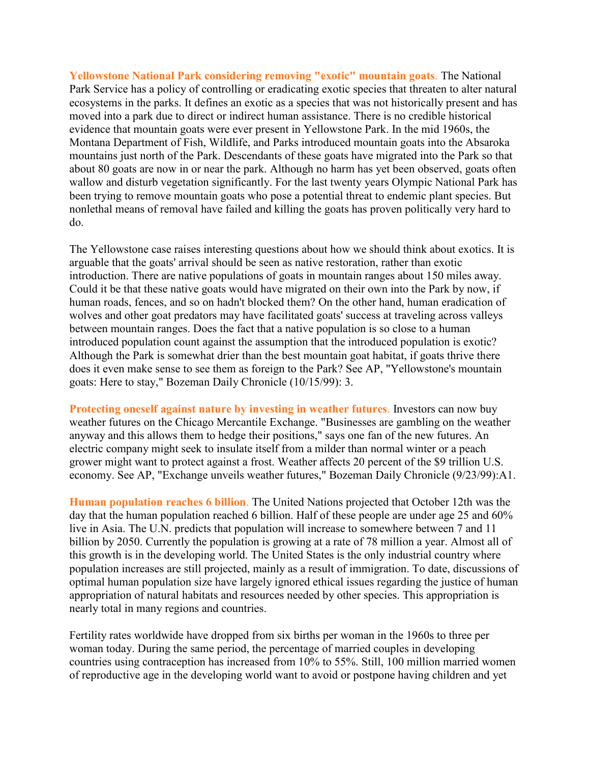**Yellowstone National Park considering removing "exotic" mountain goats**. The National Park Service has a policy of controlling or eradicating exotic species that threaten to alter natural ecosystems in the parks. It defines an exotic as a species that was not historically present and has moved into a park due to direct or indirect human assistance. There is no credible historical evidence that mountain goats were ever present in Yellowstone Park. In the mid 1960s, the Montana Department of Fish, Wildlife, and Parks introduced mountain goats into the Absaroka mountains just north of the Park. Descendants of these goats have migrated into the Park so that about 80 goats are now in or near the park. Although no harm has yet been observed, goats often wallow and disturb vegetation significantly. For the last twenty years Olympic National Park has been trying to remove mountain goats who pose a potential threat to endemic plant species. But nonlethal means of removal have failed and killing the goats has proven politically very hard to do.

The Yellowstone case raises interesting questions about how we should think about exotics. It is arguable that the goats' arrival should be seen as native restoration, rather than exotic introduction. There are native populations of goats in mountain ranges about 150 miles away. Could it be that these native goats would have migrated on their own into the Park by now, if human roads, fences, and so on hadn't blocked them? On the other hand, human eradication of wolves and other goat predators may have facilitated goats' success at traveling across valleys between mountain ranges. Does the fact that a native population is so close to a human introduced population count against the assumption that the introduced population is exotic? Although the Park is somewhat drier than the best mountain goat habitat, if goats thrive there does it even make sense to see them as foreign to the Park? See AP, "Yellowstone's mountain goats: Here to stay," Bozeman Daily Chronicle (10/15/99): 3.

**Protecting oneself against nature by investing in weather futures**. Investors can now buy weather futures on the Chicago Mercantile Exchange. "Businesses are gambling on the weather anyway and this allows them to hedge their positions," says one fan of the new futures. An electric company might seek to insulate itself from a milder than normal winter or a peach grower might want to protect against a frost. Weather affects 20 percent of the \$9 trillion U.S. economy. See AP, "Exchange unveils weather futures," Bozeman Daily Chronicle (9/23/99):A1.

**Human population reaches 6 billion**. The United Nations projected that October 12th was the day that the human population reached 6 billion. Half of these people are under age 25 and 60% live in Asia. The U.N. predicts that population will increase to somewhere between 7 and 11 billion by 2050. Currently the population is growing at a rate of 78 million a year. Almost all of this growth is in the developing world. The United States is the only industrial country where population increases are still projected, mainly as a result of immigration. To date, discussions of optimal human population size have largely ignored ethical issues regarding the justice of human appropriation of natural habitats and resources needed by other species. This appropriation is nearly total in many regions and countries.

Fertility rates worldwide have dropped from six births per woman in the 1960s to three per woman today. During the same period, the percentage of married couples in developing countries using contraception has increased from 10% to 55%. Still, 100 million married women of reproductive age in the developing world want to avoid or postpone having children and yet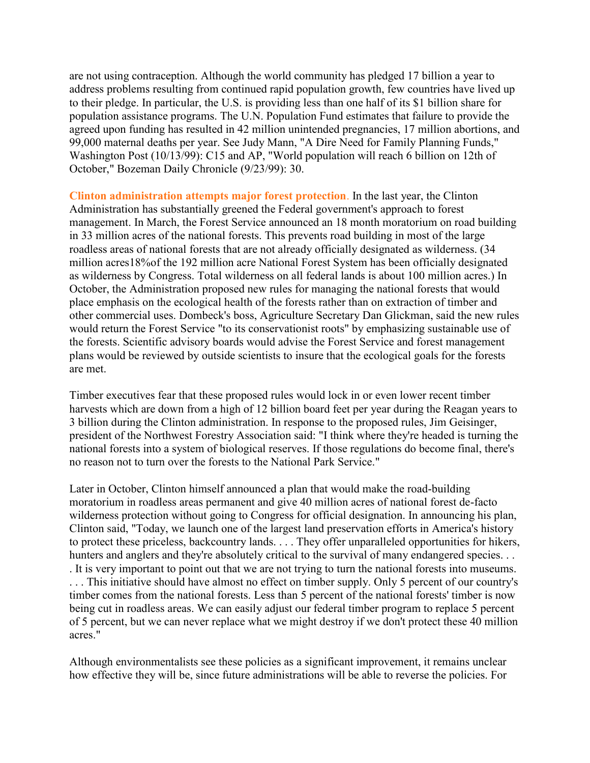are not using contraception. Although the world community has pledged 17 billion a year to address problems resulting from continued rapid population growth, few countries have lived up to their pledge. In particular, the U.S. is providing less than one half of its \$1 billion share for population assistance programs. The U.N. Population Fund estimates that failure to provide the agreed upon funding has resulted in 42 million unintended pregnancies, 17 million abortions, and 99,000 maternal deaths per year. See Judy Mann, "A Dire Need for Family Planning Funds," Washington Post (10/13/99): C15 and AP, "World population will reach 6 billion on 12th of October," Bozeman Daily Chronicle (9/23/99): 30.

**Clinton administration attempts major forest protection**. In the last year, the Clinton Administration has substantially greened the Federal government's approach to forest management. In March, the Forest Service announced an 18 month moratorium on road building in 33 million acres of the national forests. This prevents road building in most of the large roadless areas of national forests that are not already officially designated as wilderness. (34 million acres18%of the 192 million acre National Forest System has been officially designated as wilderness by Congress. Total wilderness on all federal lands is about 100 million acres.) In October, the Administration proposed new rules for managing the national forests that would place emphasis on the ecological health of the forests rather than on extraction of timber and other commercial uses. Dombeck's boss, Agriculture Secretary Dan Glickman, said the new rules would return the Forest Service "to its conservationist roots" by emphasizing sustainable use of the forests. Scientific advisory boards would advise the Forest Service and forest management plans would be reviewed by outside scientists to insure that the ecological goals for the forests are met.

Timber executives fear that these proposed rules would lock in or even lower recent timber harvests which are down from a high of 12 billion board feet per year during the Reagan years to 3 billion during the Clinton administration. In response to the proposed rules, Jim Geisinger, president of the Northwest Forestry Association said: "I think where they're headed is turning the national forests into a system of biological reserves. If those regulations do become final, there's no reason not to turn over the forests to the National Park Service."

Later in October, Clinton himself announced a plan that would make the road-building moratorium in roadless areas permanent and give 40 million acres of national forest de-facto wilderness protection without going to Congress for official designation. In announcing his plan, Clinton said, "Today, we launch one of the largest land preservation efforts in America's history to protect these priceless, backcountry lands. . . . They offer unparalleled opportunities for hikers, hunters and anglers and they're absolutely critical to the survival of many endangered species. . . . It is very important to point out that we are not trying to turn the national forests into museums. . . . This initiative should have almost no effect on timber supply. Only 5 percent of our country's timber comes from the national forests. Less than 5 percent of the national forests' timber is now being cut in roadless areas. We can easily adjust our federal timber program to replace 5 percent of 5 percent, but we can never replace what we might destroy if we don't protect these 40 million acres."

Although environmentalists see these policies as a significant improvement, it remains unclear how effective they will be, since future administrations will be able to reverse the policies. For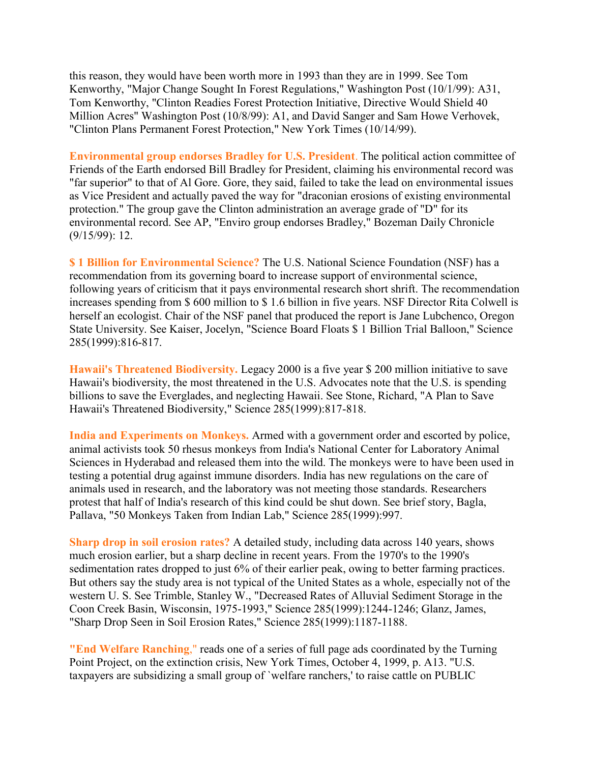this reason, they would have been worth more in 1993 than they are in 1999. See Tom Kenworthy, "Major Change Sought In Forest Regulations," Washington Post (10/1/99): A31, Tom Kenworthy, "Clinton Readies Forest Protection Initiative, Directive Would Shield 40 Million Acres" Washington Post (10/8/99): A1, and David Sanger and Sam Howe Verhovek, "Clinton Plans Permanent Forest Protection," New York Times (10/14/99).

**Environmental group endorses Bradley for U.S. President**. The political action committee of Friends of the Earth endorsed Bill Bradley for President, claiming his environmental record was "far superior" to that of Al Gore. Gore, they said, failed to take the lead on environmental issues as Vice President and actually paved the way for "draconian erosions of existing environmental protection." The group gave the Clinton administration an average grade of "D" for its environmental record. See AP, "Enviro group endorses Bradley," Bozeman Daily Chronicle (9/15/99): 12.

**\$ 1 Billion for Environmental Science?** The U.S. National Science Foundation (NSF) has a recommendation from its governing board to increase support of environmental science, following years of criticism that it pays environmental research short shrift. The recommendation increases spending from \$ 600 million to \$ 1.6 billion in five years. NSF Director Rita Colwell is herself an ecologist. Chair of the NSF panel that produced the report is Jane Lubchenco, Oregon State University. See Kaiser, Jocelyn, "Science Board Floats \$ 1 Billion Trial Balloon," Science 285(1999):816-817.

**Hawaii's Threatened Biodiversity.** Legacy 2000 is a five year \$ 200 million initiative to save Hawaii's biodiversity, the most threatened in the U.S. Advocates note that the U.S. is spending billions to save the Everglades, and neglecting Hawaii. See Stone, Richard, "A Plan to Save Hawaii's Threatened Biodiversity," Science 285(1999):817-818.

**India and Experiments on Monkeys.** Armed with a government order and escorted by police, animal activists took 50 rhesus monkeys from India's National Center for Laboratory Animal Sciences in Hyderabad and released them into the wild. The monkeys were to have been used in testing a potential drug against immune disorders. India has new regulations on the care of animals used in research, and the laboratory was not meeting those standards. Researchers protest that half of India's research of this kind could be shut down. See brief story, Bagla, Pallava, "50 Monkeys Taken from Indian Lab," Science 285(1999):997.

**Sharp drop in soil erosion rates?** A detailed study, including data across 140 years, shows much erosion earlier, but a sharp decline in recent years. From the 1970's to the 1990's sedimentation rates dropped to just 6% of their earlier peak, owing to better farming practices. But others say the study area is not typical of the United States as a whole, especially not of the western U. S. See Trimble, Stanley W., "Decreased Rates of Alluvial Sediment Storage in the Coon Creek Basin, Wisconsin, 1975-1993," Science 285(1999):1244-1246; Glanz, James, "Sharp Drop Seen in Soil Erosion Rates," Science 285(1999):1187-1188.

**"End Welfare Ranching**," reads one of a series of full page ads coordinated by the Turning Point Project, on the extinction crisis, New York Times, October 4, 1999, p. A13. "U.S. taxpayers are subsidizing a small group of `welfare ranchers,' to raise cattle on PUBLIC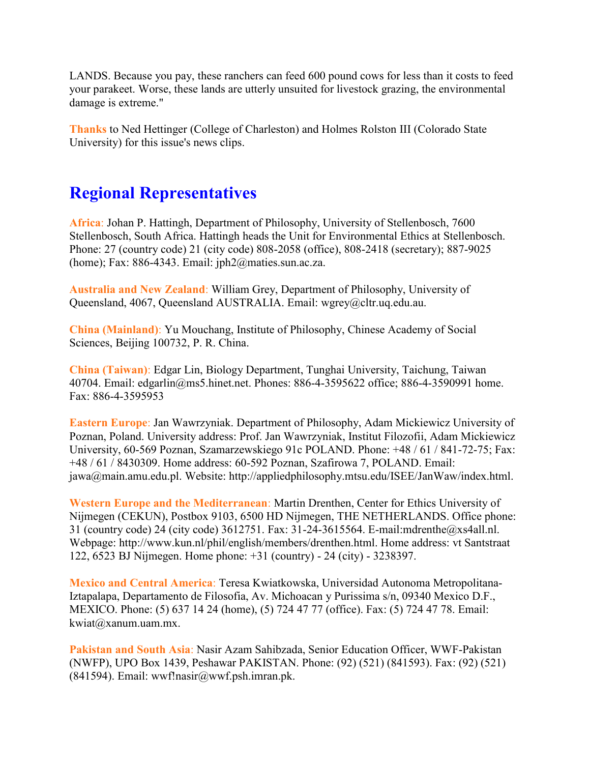LANDS. Because you pay, these ranchers can feed 600 pound cows for less than it costs to feed your parakeet. Worse, these lands are utterly unsuited for livestock grazing, the environmental damage is extreme."

**Thanks** to Ned Hettinger (College of Charleston) and Holmes Rolston III (Colorado State University) for this issue's news clips.

## **Regional Representatives**

**Africa**: Johan P. Hattingh, Department of Philosophy, University of Stellenbosch, 7600 Stellenbosch, South Africa. Hattingh heads the Unit for Environmental Ethics at Stellenbosch. Phone: 27 (country code) 21 (city code) 808-2058 (office), 808-2418 (secretary); 887-9025 (home); Fax: 886-4343. Email: jph2@maties.sun.ac.za.

**Australia and New Zealand**: William Grey, Department of Philosophy, University of Queensland, 4067, Queensland AUSTRALIA. Email: wgrey@cltr.uq.edu.au.

**China (Mainland)**: Yu Mouchang, Institute of Philosophy, Chinese Academy of Social Sciences, Beijing 100732, P. R. China.

**China (Taiwan)**: Edgar Lin, Biology Department, Tunghai University, Taichung, Taiwan 40704. Email: edgarlin@ms5.hinet.net. Phones: 886-4-3595622 office; 886-4-3590991 home. Fax: 886-4-3595953

**Eastern Europe**: Jan Wawrzyniak. Department of Philosophy, Adam Mickiewicz University of Poznan, Poland. University address: Prof. Jan Wawrzyniak, Institut Filozofii, Adam Mickiewicz University, 60-569 Poznan, Szamarzewskiego 91c POLAND. Phone: +48 / 61 / 841-72-75; Fax: +48 / 61 / 8430309. Home address: 60-592 Poznan, Szafirowa 7, POLAND. Email: jawa@main.amu.edu.pl. Website: http://appliedphilosophy.mtsu.edu/ISEE/JanWaw/index.html.

**Western Europe and the Mediterranean**: Martin Drenthen, Center for Ethics University of Nijmegen (CEKUN), Postbox 9103, 6500 HD Nijmegen, THE NETHERLANDS. Office phone: 31 (country code) 24 (city code) 3612751. Fax: 31-24-3615564. E-mail:mdrenthe@xs4all.nl. Webpage: http://www.kun.nl/phil/english/members/drenthen.html. Home address: vt Santstraat 122, 6523 BJ Nijmegen. Home phone: +31 (country) - 24 (city) - 3238397.

**Mexico and Central America**: Teresa Kwiatkowska, Universidad Autonoma Metropolitana-Iztapalapa, Departamento de Filosofia, Av. Michoacan y Purissima s/n, 09340 Mexico D.F., MEXICO. Phone: (5) 637 14 24 (home), (5) 724 47 77 (office). Fax: (5) 724 47 78. Email: kwiat@xanum.uam.mx.

**Pakistan and South Asia**: Nasir Azam Sahibzada, Senior Education Officer, WWF-Pakistan (NWFP), UPO Box 1439, Peshawar PAKISTAN. Phone: (92) (521) (841593). Fax: (92) (521)  $(841594)$ . Email: wwf!nasir@wwf.psh.imran.pk.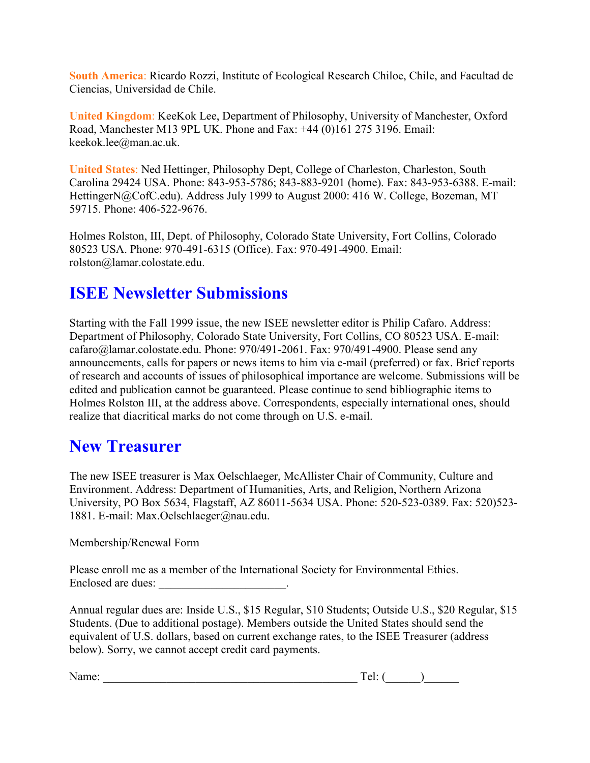**South America**: Ricardo Rozzi, Institute of Ecological Research Chiloe, Chile, and Facultad de Ciencias, Universidad de Chile.

**United Kingdom**: KeeKok Lee, Department of Philosophy, University of Manchester, Oxford Road, Manchester M13 9PL UK. Phone and Fax: +44 (0)161 275 3196. Email: keekok.lee@man.ac.uk.

**United States**: Ned Hettinger, Philosophy Dept, College of Charleston, Charleston, South Carolina 29424 USA. Phone: 843-953-5786; 843-883-9201 (home). Fax: 843-953-6388. E-mail: HettingerN@CofC.edu). Address July 1999 to August 2000: 416 W. College, Bozeman, MT 59715. Phone: 406-522-9676.

Holmes Rolston, III, Dept. of Philosophy, Colorado State University, Fort Collins, Colorado 80523 USA. Phone: 970-491-6315 (Office). Fax: 970-491-4900. Email: rolston@lamar.colostate.edu.

## **ISEE Newsletter Submissions**

Starting with the Fall 1999 issue, the new ISEE newsletter editor is Philip Cafaro. Address: Department of Philosophy, Colorado State University, Fort Collins, CO 80523 USA. E-mail: cafaro@lamar.colostate.edu. Phone: 970/491-2061. Fax: 970/491-4900. Please send any announcements, calls for papers or news items to him via e-mail (preferred) or fax. Brief reports of research and accounts of issues of philosophical importance are welcome. Submissions will be edited and publication cannot be guaranteed. Please continue to send bibliographic items to Holmes Rolston III, at the address above. Correspondents, especially international ones, should realize that diacritical marks do not come through on U.S. e-mail.

#### **New Treasurer**

The new ISEE treasurer is Max Oelschlaeger, McAllister Chair of Community, Culture and Environment. Address: Department of Humanities, Arts, and Religion, Northern Arizona University, PO Box 5634, Flagstaff, AZ 86011-5634 USA. Phone: 520-523-0389. Fax: 520)523- 1881. E-mail: Max.Oelschlaeger@nau.edu.

Membership/Renewal Form

Please enroll me as a member of the International Society for Environmental Ethics. Enclosed are dues:

Annual regular dues are: Inside U.S., \$15 Regular, \$10 Students; Outside U.S., \$20 Regular, \$15 Students. (Due to additional postage). Members outside the United States should send the equivalent of U.S. dollars, based on current exchange rates, to the ISEE Treasurer (address below). Sorry, we cannot accept credit card payments.

| Name: | ച<br>$\ddot{\phantom{0}}$ |  |  |
|-------|---------------------------|--|--|
|-------|---------------------------|--|--|